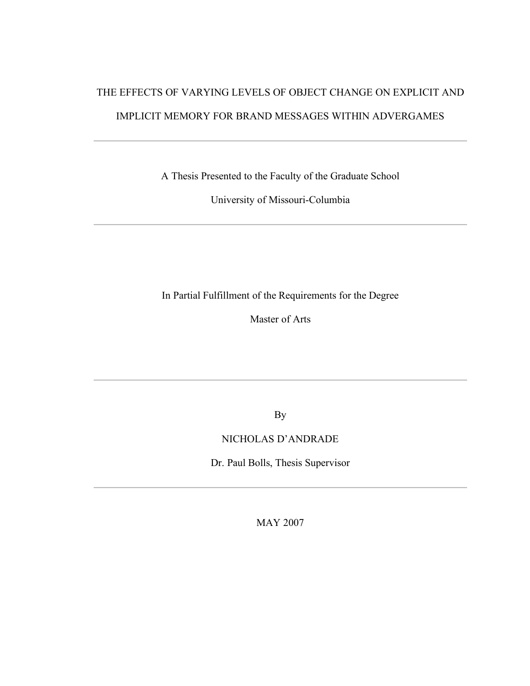# THE EFFECTS OF VARYING LEVELS OF OBJECT CHANGE ON EXPLICIT AND IMPLICIT MEMORY FOR BRAND MESSAGES WITHIN ADVERGAMES

A Thesis Presented to the Faculty of the Graduate School

University of Missouri-Columbia

In Partial Fulfillment of the Requirements for the Degree

Master of Arts

By

### NICHOLAS D'ANDRADE

Dr. Paul Bolls, Thesis Supervisor

MAY 2007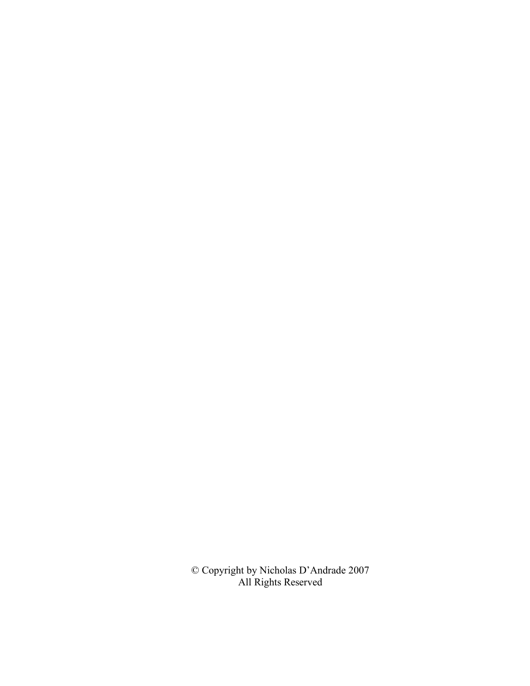© Copyright by Nicholas D'Andrade 2007 All Rights Reserved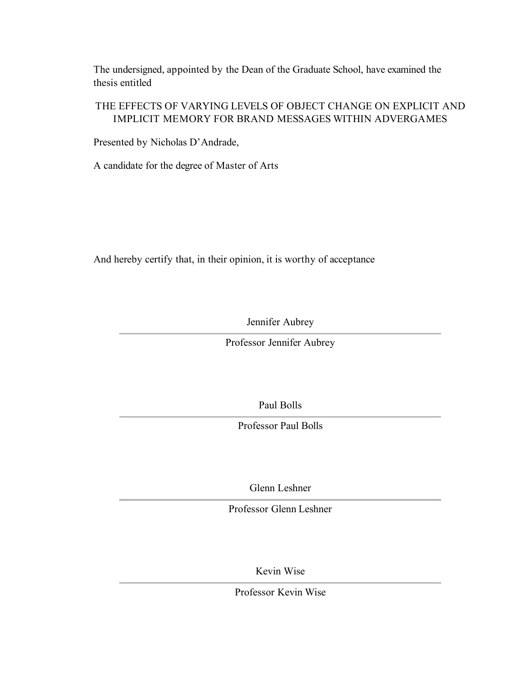The undersigned, appointed by the Dean of the Graduate School, have examined the thesis entitled

### THE EFFECTS OF VARYING LEVELS OF OBJECT CHANGE ON EXPLICIT AND IMPLICIT MEMORY FOR BRAND MESSAGES WITHIN ADVERGAMES

Presented by Nicholas D'Andrade,

A candidate for the degree of Master of Arts

And hereby certify that, in their opinion, it is worthy of acceptance

Jennifer Aubrey

Professor Jennifer Aubrey

Paul Bolls

Professor Paul Bolls

Glenn Leshner

Professor Glenn Leshner

Kevin Wise

Professor Kevin Wise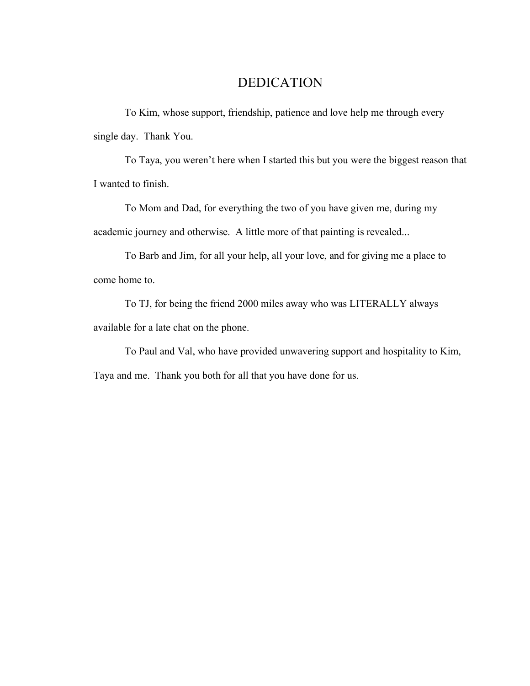# DEDICATION

To Kim, whose support, friendship, patience and love help me through every single day. Thank You.

To Taya, you weren't here when I started this but you were the biggest reason that I wanted to finish.

To Mom and Dad, for everything the two of you have given me, during my academic journey and otherwise. A little more of that painting is revealed...

To Barb and Jim, for all your help, all your love, and for giving me a place to come home to.

To TJ, for being the friend 2000 miles away who was LITERALLY always available for a late chat on the phone.

To Paul and Val, who have provided unwavering support and hospitality to Kim, Taya and me. Thank you both for all that you have done for us.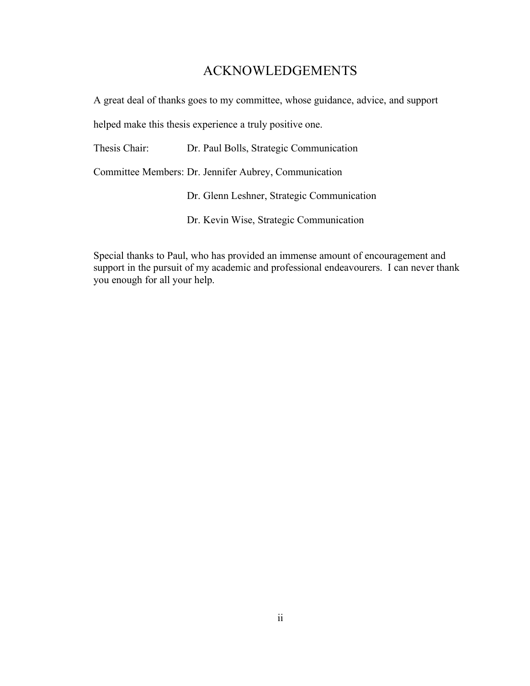# ACKNOWLEDGEMENTS

A great deal of thanks goes to my committee, whose guidance, advice, and support

helped make this thesis experience a truly positive one.

Thesis Chair: Dr. Paul Bolls, Strategic Communication

Committee Members: Dr. Jennifer Aubrey, Communication

Dr. Glenn Leshner, Strategic Communication

Dr. Kevin Wise, Strategic Communication

Special thanks to Paul, who has provided an immense amount of encouragement and support in the pursuit of my academic and professional endeavourers. I can never thank you enough for all your help.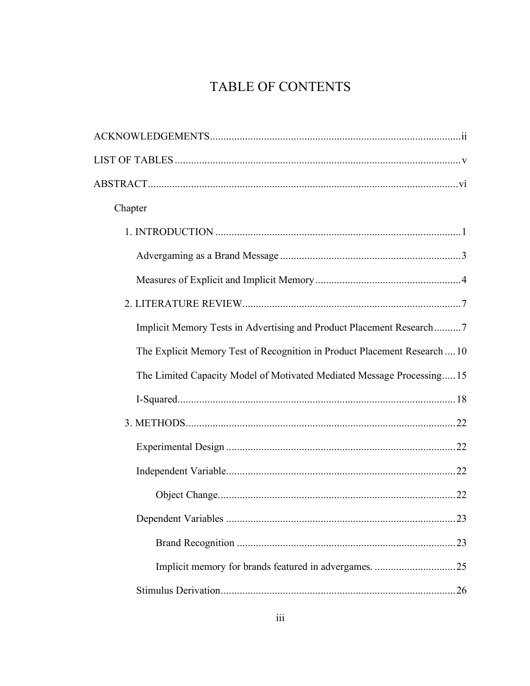# TABLE OF CONTENTS

| Chapter                                                                   |
|---------------------------------------------------------------------------|
|                                                                           |
|                                                                           |
|                                                                           |
|                                                                           |
| Implicit Memory Tests in Advertising and Product Placement Research7      |
| The Explicit Memory Test of Recognition in Product Placement Research  10 |
| The Limited Capacity Model of Motivated Mediated Message Processing 15    |
|                                                                           |
|                                                                           |
|                                                                           |
|                                                                           |
|                                                                           |
|                                                                           |
|                                                                           |
|                                                                           |
|                                                                           |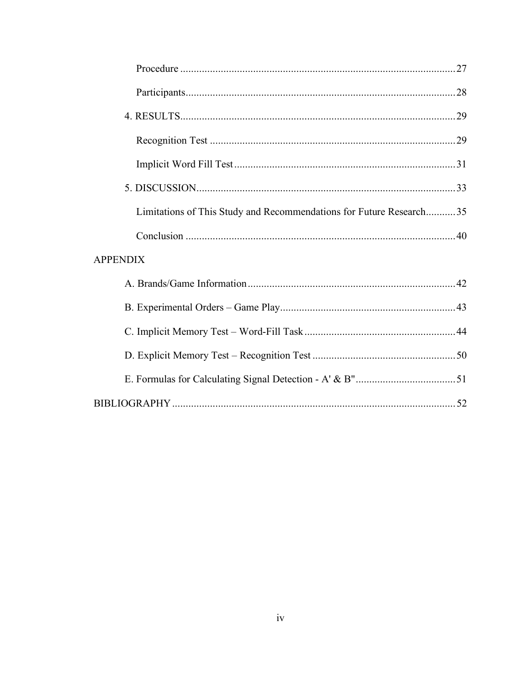| Limitations of This Study and Recommendations for Future Research35 |  |
|---------------------------------------------------------------------|--|
|                                                                     |  |
| <b>APPENDIX</b>                                                     |  |
|                                                                     |  |
|                                                                     |  |
|                                                                     |  |
|                                                                     |  |
|                                                                     |  |
|                                                                     |  |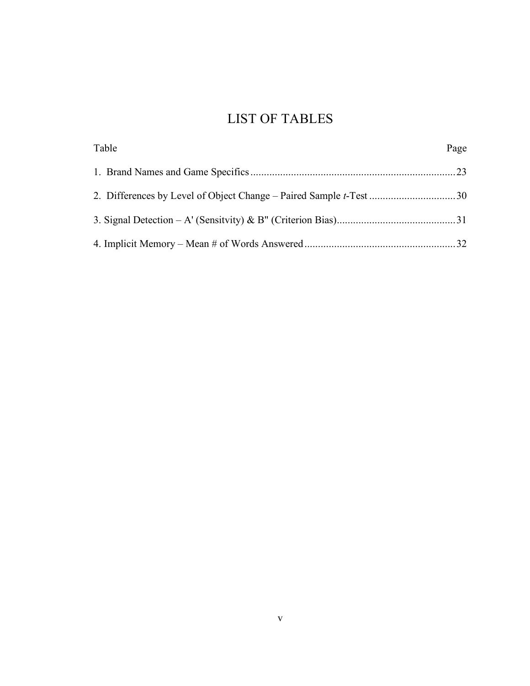# LIST OF TABLES

| Table | Page |
|-------|------|
|       |      |
|       |      |
|       |      |
|       |      |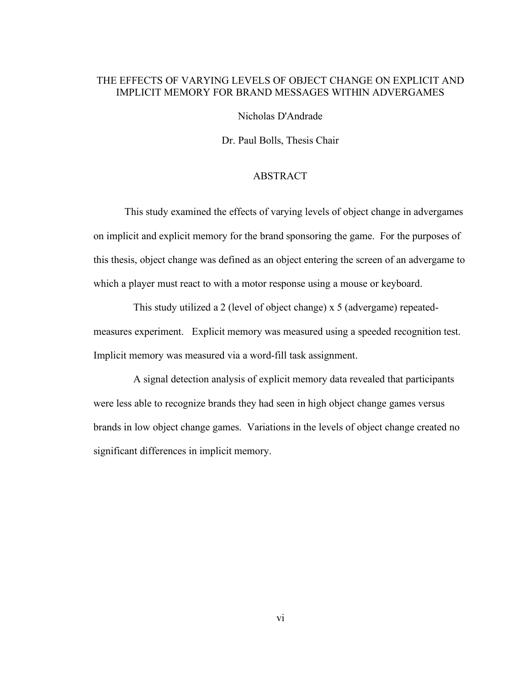### THE EFFECTS OF VARYING LEVELS OF OBJECT CHANGE ON EXPLICIT AND IMPLICIT MEMORY FOR BRAND MESSAGES WITHIN ADVERGAMES

Nicholas D'Andrade

Dr. Paul Bolls, Thesis Chair

#### ABSTRACT

This study examined the effects of varying levels of object change in advergames on implicit and explicit memory for the brand sponsoring the game. For the purposes of this thesis, object change was defined as an object entering the screen of an advergame to which a player must react to with a motor response using a mouse or keyboard.

This study utilized a 2 (level of object change) x 5 (advergame) repeatedmeasures experiment. Explicit memory was measured using a speeded recognition test. Implicit memory was measured via a word-fill task assignment.

A signal detection analysis of explicit memory data revealed that participants were less able to recognize brands they had seen in high object change games versus brands in low object change games. Variations in the levels of object change created no significant differences in implicit memory.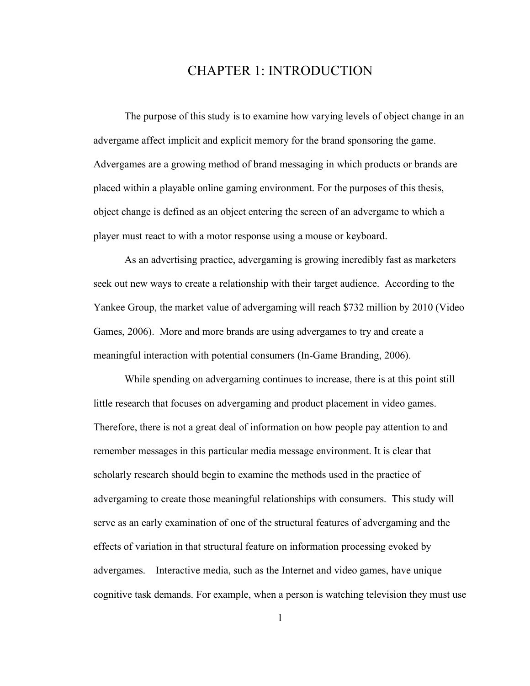## CHAPTER 1: INTRODUCTION

The purpose of this study is to examine how varying levels of object change in an advergame affect implicit and explicit memory for the brand sponsoring the game. Advergames are a growing method of brand messaging in which products or brands are placed within a playable online gaming environment. For the purposes of this thesis, object change is defined as an object entering the screen of an advergame to which a player must react to with a motor response using a mouse or keyboard.

As an advertising practice, advergaming is growing incredibly fast as marketers seek out new ways to create a relationship with their target audience. According to the Yankee Group, the market value of advergaming will reach \$732 million by 2010 (Video Games, 2006). More and more brands are using advergames to try and create a meaningful interaction with potential consumers (In-Game Branding, 2006).

While spending on advergaming continues to increase, there is at this point still little research that focuses on advergaming and product placement in video games. Therefore, there is not a great deal of information on how people pay attention to and remember messages in this particular media message environment. It is clear that scholarly research should begin to examine the methods used in the practice of advergaming to create those meaningful relationships with consumers. This study will serve as an early examination of one of the structural features of advergaming and the effects of variation in that structural feature on information processing evoked by advergames. Interactive media, such as the Internet and video games, have unique cognitive task demands. For example, when a person is watching television they must use

1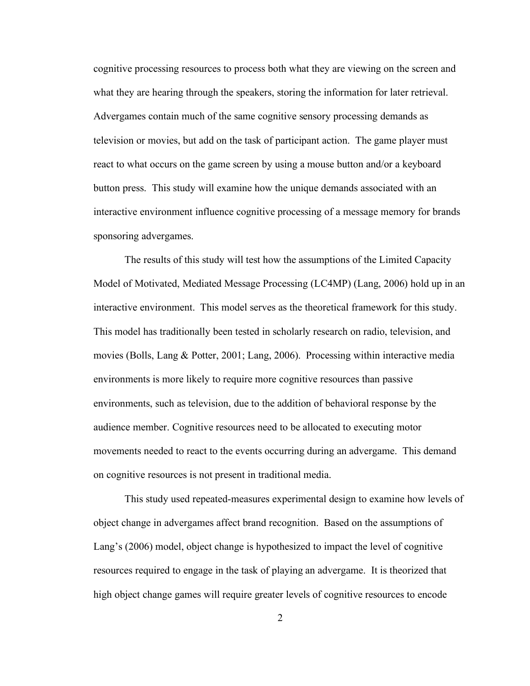cognitive processing resources to process both what they are viewing on the screen and what they are hearing through the speakers, storing the information for later retrieval. Advergames contain much of the same cognitive sensory processing demands as television or movies, but add on the task of participant action. The game player must react to what occurs on the game screen by using a mouse button and/or a keyboard button press. This study will examine how the unique demands associated with an interactive environment influence cognitive processing of a message memory for brands sponsoring advergames.

The results of this study will test how the assumptions of the Limited Capacity Model of Motivated, Mediated Message Processing (LC4MP) (Lang, 2006) hold up in an interactive environment. This model serves as the theoretical framework for this study. This model has traditionally been tested in scholarly research on radio, television, and movies (Bolls, Lang & Potter, 2001; Lang, 2006). Processing within interactive media environments is more likely to require more cognitive resources than passive environments, such as television, due to the addition of behavioral response by the audience member. Cognitive resources need to be allocated to executing motor movements needed to react to the events occurring during an advergame. This demand on cognitive resources is not present in traditional media.

This study used repeated-measures experimental design to examine how levels of object change in advergames affect brand recognition. Based on the assumptions of Lang's (2006) model, object change is hypothesized to impact the level of cognitive resources required to engage in the task of playing an advergame. It is theorized that high object change games will require greater levels of cognitive resources to encode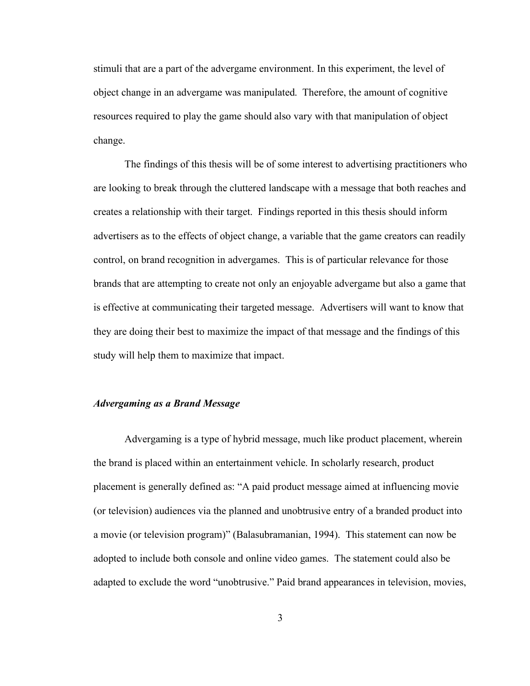stimuli that are a part of the advergame environment. In this experiment, the level of object change in an advergame was manipulated. Therefore, the amount of cognitive resources required to play the game should also vary with that manipulation of object change.

The findings of this thesis will be of some interest to advertising practitioners who are looking to break through the cluttered landscape with a message that both reaches and creates a relationship with their target. Findings reported in this thesis should inform advertisers as to the effects of object change, a variable that the game creators can readily control, on brand recognition in advergames. This is of particular relevance for those brands that are attempting to create not only an enjoyable advergame but also a game that is effective at communicating their targeted message. Advertisers will want to know that they are doing their best to maximize the impact of that message and the findings of this study will help them to maximize that impact.

#### *Advergaming as a Brand Message*

Advergaming is a type of hybrid message, much like product placement, wherein the brand is placed within an entertainment vehicle. In scholarly research, product placement is generally defined as: "A paid product message aimed at influencing movie (or television) audiences via the planned and unobtrusive entry of a branded product into a movie (or television program)" (Balasubramanian, 1994). This statement can now be adopted to include both console and online video games. The statement could also be adapted to exclude the word "unobtrusive." Paid brand appearances in television, movies,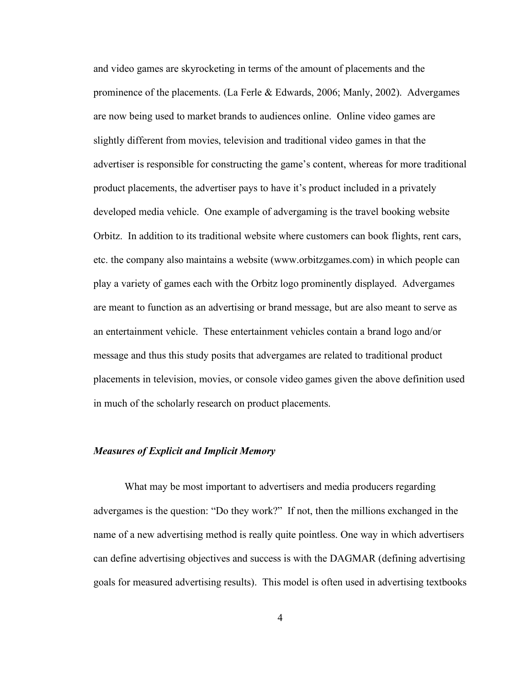and video games are skyrocketing in terms of the amount of placements and the prominence of the placements. (La Ferle & Edwards, 2006; Manly, 2002). Advergames are now being used to market brands to audiences online. Online video games are slightly different from movies, television and traditional video games in that the advertiser is responsible for constructing the game's content, whereas for more traditional product placements, the advertiser pays to have it's product included in a privately developed media vehicle. One example of advergaming is the travel booking website Orbitz. In addition to its traditional website where customers can book flights, rent cars, etc. the company also maintains a website (www.orbitzgames.com) in which people can play a variety of games each with the Orbitz logo prominently displayed. Advergames are meant to function as an advertising or brand message, but are also meant to serve as an entertainment vehicle. These entertainment vehicles contain a brand logo and/or message and thus this study posits that advergames are related to traditional product placements in television, movies, or console video games given the above definition used in much of the scholarly research on product placements.

#### *Measures of Explicit and Implicit Memory*

What may be most important to advertisers and media producers regarding advergames is the question: "Do they work?" If not, then the millions exchanged in the name of a new advertising method is really quite pointless. One way in which advertisers can define advertising objectives and success is with the DAGMAR (defining advertising goals for measured advertising results). This model is often used in advertising textbooks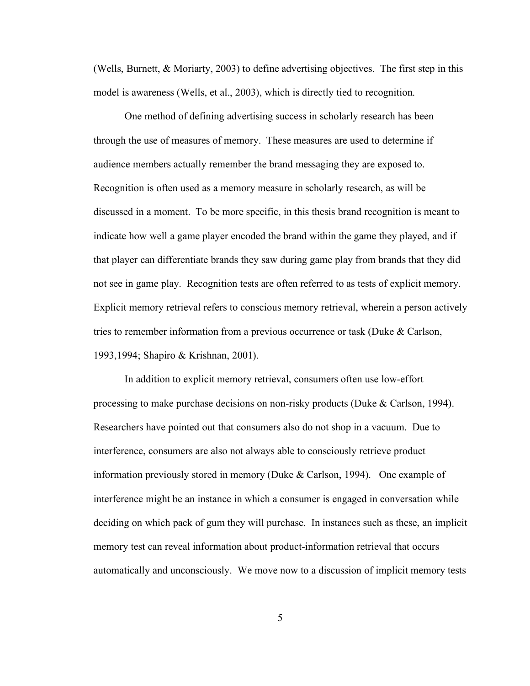(Wells, Burnett, & Moriarty, 2003) to define advertising objectives. The first step in this model is awareness (Wells, et al., 2003), which is directly tied to recognition.

One method of defining advertising success in scholarly research has been through the use of measures of memory. These measures are used to determine if audience members actually remember the brand messaging they are exposed to. Recognition is often used as a memory measure in scholarly research, as will be discussed in a moment. To be more specific, in this thesis brand recognition is meant to indicate how well a game player encoded the brand within the game they played, and if that player can differentiate brands they saw during game play from brands that they did not see in game play. Recognition tests are often referred to as tests of explicit memory. Explicit memory retrieval refers to conscious memory retrieval, wherein a person actively tries to remember information from a previous occurrence or task (Duke & Carlson, 1993,1994; Shapiro & Krishnan, 2001).

In addition to explicit memory retrieval, consumers often use low-effort processing to make purchase decisions on non-risky products (Duke & Carlson, 1994). Researchers have pointed out that consumers also do not shop in a vacuum. Due to interference, consumers are also not always able to consciously retrieve product information previously stored in memory (Duke & Carlson, 1994). One example of interference might be an instance in which a consumer is engaged in conversation while deciding on which pack of gum they will purchase. In instances such as these, an implicit memory test can reveal information about product-information retrieval that occurs automatically and unconsciously. We move now to a discussion of implicit memory tests

5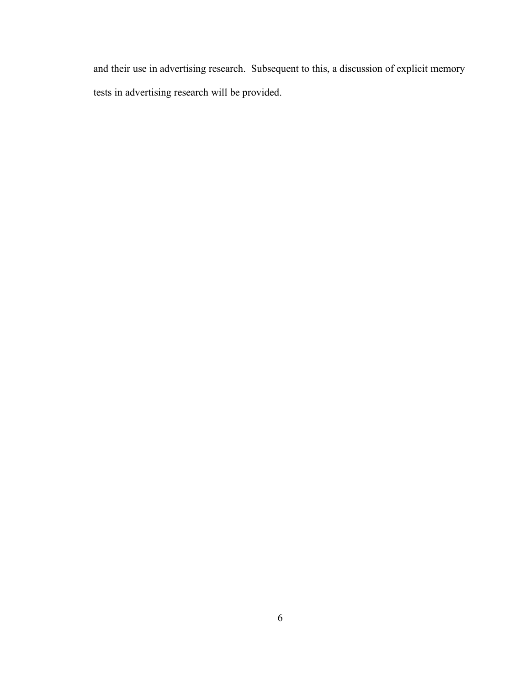and their use in advertising research. Subsequent to this, a discussion of explicit memory tests in advertising research will be provided.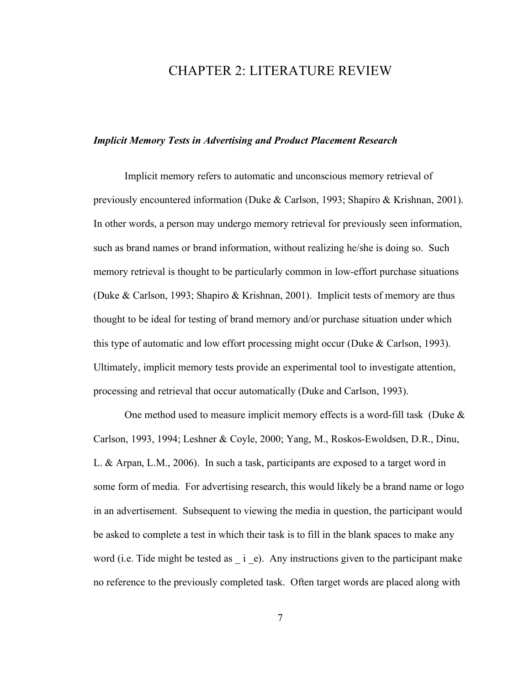## CHAPTER 2: LITERATURE REVIEW

#### *Implicit Memory Tests in Advertising and Product Placement Research*

Implicit memory refers to automatic and unconscious memory retrieval of previously encountered information (Duke & Carlson, 1993; Shapiro & Krishnan, 2001). In other words, a person may undergo memory retrieval for previously seen information, such as brand names or brand information, without realizing he/she is doing so. Such memory retrieval is thought to be particularly common in low-effort purchase situations (Duke & Carlson, 1993; Shapiro & Krishnan, 2001). Implicit tests of memory are thus thought to be ideal for testing of brand memory and/or purchase situation under which this type of automatic and low effort processing might occur (Duke & Carlson, 1993). Ultimately, implicit memory tests provide an experimental tool to investigate attention, processing and retrieval that occur automatically (Duke and Carlson, 1993).

One method used to measure implicit memory effects is a word-fill task (Duke & Carlson, 1993, 1994; Leshner & Coyle, 2000; Yang, M., Roskos-Ewoldsen, D.R., Dinu, L. & Arpan, L.M., 2006). In such a task, participants are exposed to a target word in some form of media. For advertising research, this would likely be a brand name or logo in an advertisement. Subsequent to viewing the media in question, the participant would be asked to complete a test in which their task is to fill in the blank spaces to make any word (i.e. Tide might be tested as  $\alpha$  i e). Any instructions given to the participant make no reference to the previously completed task. Often target words are placed along with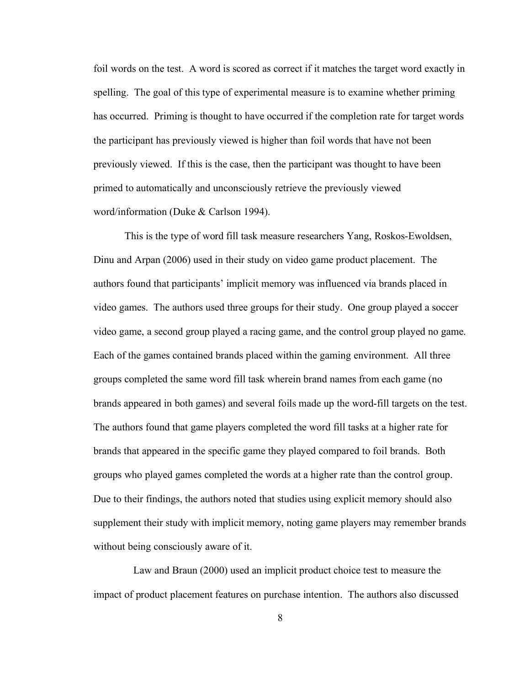foil words on the test. A word is scored as correct if it matches the target word exactly in spelling. The goal of this type of experimental measure is to examine whether priming has occurred. Priming is thought to have occurred if the completion rate for target words the participant has previously viewed is higher than foil words that have not been previously viewed. If this is the case, then the participant was thought to have been primed to automatically and unconsciously retrieve the previously viewed word/information (Duke & Carlson 1994).

This is the type of word fill task measure researchers Yang, Roskos-Ewoldsen, Dinu and Arpan (2006) used in their study on video game product placement. The authors found that participants' implicit memory was influenced via brands placed in video games. The authors used three groups for their study. One group played a soccer video game, a second group played a racing game, and the control group played no game. Each of the games contained brands placed within the gaming environment. All three groups completed the same word fill task wherein brand names from each game (no brands appeared in both games) and several foils made up the word-fill targets on the test. The authors found that game players completed the word fill tasks at a higher rate for brands that appeared in the specific game they played compared to foil brands. Both groups who played games completed the words at a higher rate than the control group. Due to their findings, the authors noted that studies using explicit memory should also supplement their study with implicit memory, noting game players may remember brands without being consciously aware of it.

Law and Braun (2000) used an implicit product choice test to measure the impact of product placement features on purchase intention. The authors also discussed

8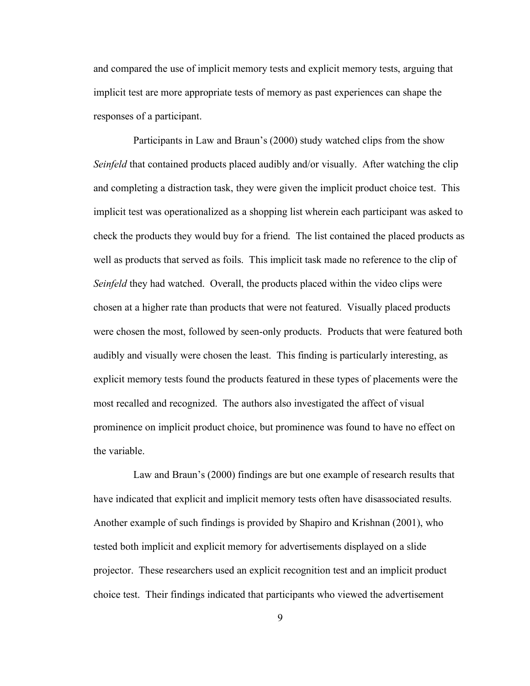and compared the use of implicit memory tests and explicit memory tests, arguing that implicit test are more appropriate tests of memory as past experiences can shape the responses of a participant.

Participants in Law and Braun's (2000) study watched clips from the show *Seinfeld* that contained products placed audibly and/or visually. After watching the clip and completing a distraction task, they were given the implicit product choice test. This implicit test was operationalized as a shopping list wherein each participant was asked to check the products they would buy for a friend. The list contained the placed products as well as products that served as foils. This implicit task made no reference to the clip of *Seinfeld* they had watched. Overall, the products placed within the video clips were chosen at a higher rate than products that were not featured. Visually placed products were chosen the most, followed by seen-only products. Products that were featured both audibly and visually were chosen the least. This finding is particularly interesting, as explicit memory tests found the products featured in these types of placements were the most recalled and recognized. The authors also investigated the affect of visual prominence on implicit product choice, but prominence was found to have no effect on the variable.

Law and Braun's (2000) findings are but one example of research results that have indicated that explicit and implicit memory tests often have disassociated results. Another example of such findings is provided by Shapiro and Krishnan (2001), who tested both implicit and explicit memory for advertisements displayed on a slide projector. These researchers used an explicit recognition test and an implicit product choice test. Their findings indicated that participants who viewed the advertisement

9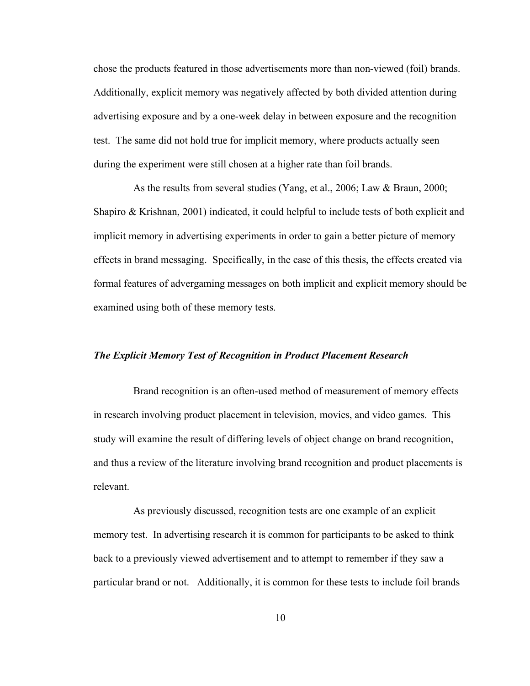chose the products featured in those advertisements more than non-viewed (foil) brands. Additionally, explicit memory was negatively affected by both divided attention during advertising exposure and by a one-week delay in between exposure and the recognition test. The same did not hold true for implicit memory, where products actually seen during the experiment were still chosen at a higher rate than foil brands.

As the results from several studies (Yang, et al., 2006; Law & Braun, 2000; Shapiro & Krishnan, 2001) indicated, it could helpful to include tests of both explicit and implicit memory in advertising experiments in order to gain a better picture of memory effects in brand messaging. Specifically, in the case of this thesis, the effects created via formal features of advergaming messages on both implicit and explicit memory should be examined using both of these memory tests.

#### *The Explicit Memory Test of Recognition in Product Placement Research*

Brand recognition is an often-used method of measurement of memory effects in research involving product placement in television, movies, and video games. This study will examine the result of differing levels of object change on brand recognition, and thus a review of the literature involving brand recognition and product placements is relevant.

As previously discussed, recognition tests are one example of an explicit memory test. In advertising research it is common for participants to be asked to think back to a previously viewed advertisement and to attempt to remember if they saw a particular brand or not. Additionally, it is common for these tests to include foil brands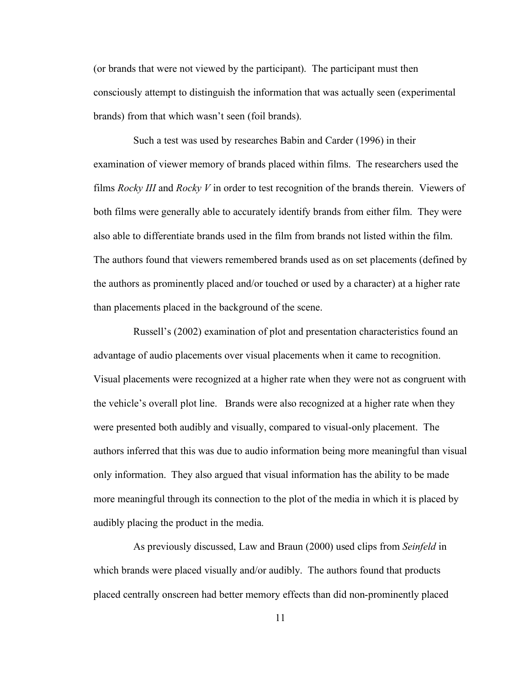(or brands that were not viewed by the participant). The participant must then consciously attempt to distinguish the information that was actually seen (experimental brands) from that which wasn't seen (foil brands).

Such a test was used by researches Babin and Carder (1996) in their examination of viewer memory of brands placed within films. The researchers used the films *Rocky III* and *Rocky V* in order to test recognition of the brands therein. Viewers of both films were generally able to accurately identify brands from either film. They were also able to differentiate brands used in the film from brands not listed within the film. The authors found that viewers remembered brands used as on set placements (defined by the authors as prominently placed and/or touched or used by a character) at a higher rate than placements placed in the background of the scene.

Russell's (2002) examination of plot and presentation characteristics found an advantage of audio placements over visual placements when it came to recognition. Visual placements were recognized at a higher rate when they were not as congruent with the vehicle's overall plot line. Brands were also recognized at a higher rate when they were presented both audibly and visually, compared to visual-only placement. The authors inferred that this was due to audio information being more meaningful than visual only information. They also argued that visual information has the ability to be made more meaningful through its connection to the plot of the media in which it is placed by audibly placing the product in the media.

As previously discussed, Law and Braun (2000) used clips from *Seinfeld* in which brands were placed visually and/or audibly. The authors found that products placed centrally onscreen had better memory effects than did non-prominently placed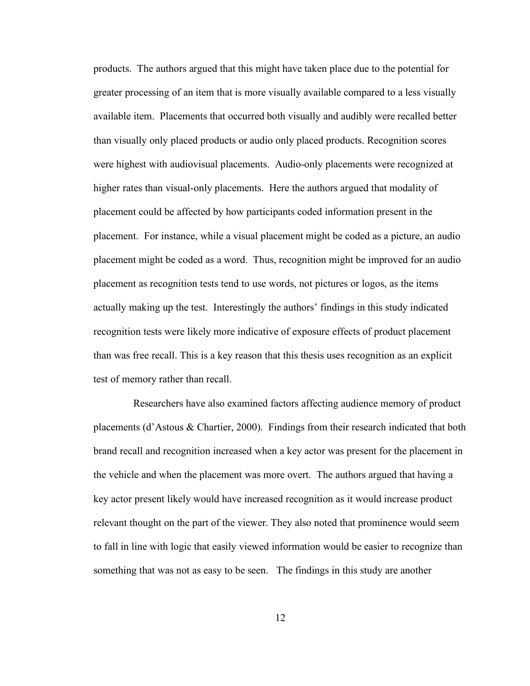products. The authors argued that this might have taken place due to the potential for greater processing of an item that is more visually available compared to a less visually available item. Placements that occurred both visually and audibly were recalled better than visually only placed products or audio only placed products. Recognition scores were highest with audiovisual placements. Audio-only placements were recognized at higher rates than visual-only placements. Here the authors argued that modality of placement could be affected by how participants coded information present in the placement. For instance, while a visual placement might be coded as a picture, an audio placement might be coded as a word. Thus, recognition might be improved for an audio placement as recognition tests tend to use words, not pictures or logos, as the items actually making up the test. Interestingly the authors' findings in this study indicated recognition tests were likely more indicative of exposure effects of product placement than was free recall. This is a key reason that this thesis uses recognition as an explicit test of memory rather than recall.

Researchers have also examined factors affecting audience memory of product placements (d'Astous & Chartier, 2000). Findings from their research indicated that both brand recall and recognition increased when a key actor was present for the placement in the vehicle and when the placement was more overt. The authors argued that having a key actor present likely would have increased recognition as it would increase product relevant thought on the part of the viewer. They also noted that prominence would seem to fall in line with logic that easily viewed information would be easier to recognize than something that was not as easy to be seen. The findings in this study are another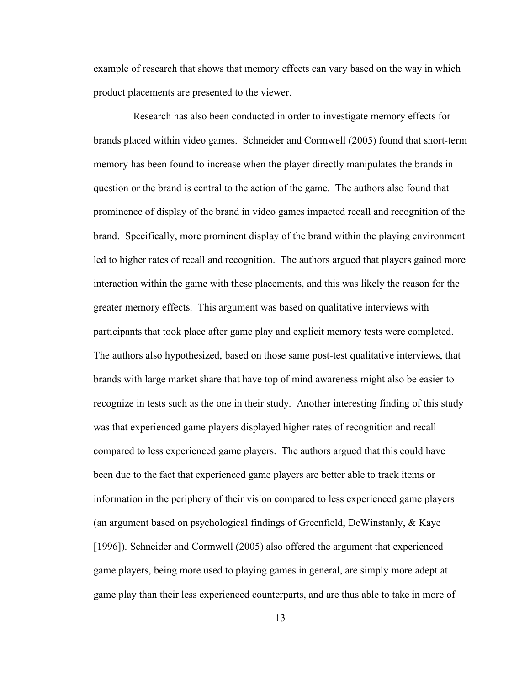example of research that shows that memory effects can vary based on the way in which product placements are presented to the viewer.

Research has also been conducted in order to investigate memory effects for brands placed within video games. Schneider and Cormwell (2005) found that short-term memory has been found to increase when the player directly manipulates the brands in question or the brand is central to the action of the game. The authors also found that prominence of display of the brand in video games impacted recall and recognition of the brand. Specifically, more prominent display of the brand within the playing environment led to higher rates of recall and recognition. The authors argued that players gained more interaction within the game with these placements, and this was likely the reason for the greater memory effects. This argument was based on qualitative interviews with participants that took place after game play and explicit memory tests were completed. The authors also hypothesized, based on those same post-test qualitative interviews, that brands with large market share that have top of mind awareness might also be easier to recognize in tests such as the one in their study. Another interesting finding of this study was that experienced game players displayed higher rates of recognition and recall compared to less experienced game players. The authors argued that this could have been due to the fact that experienced game players are better able to track items or information in the periphery of their vision compared to less experienced game players (an argument based on psychological findings of Greenfield, DeWinstanly, & Kaye [1996]). Schneider and Cormwell (2005) also offered the argument that experienced game players, being more used to playing games in general, are simply more adept at game play than their less experienced counterparts, and are thus able to take in more of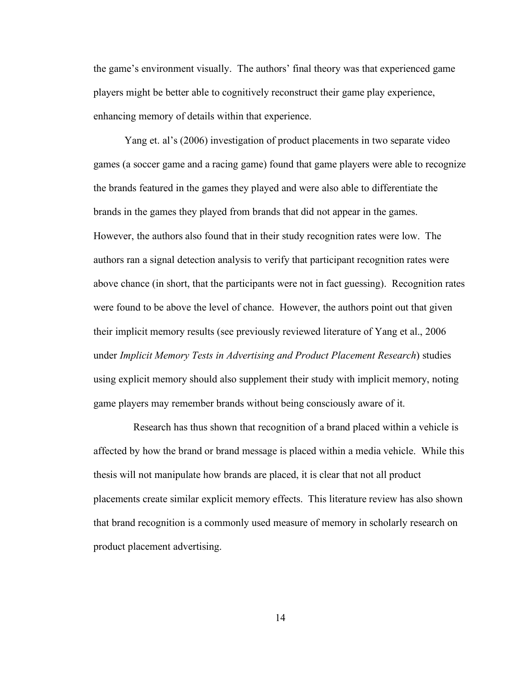the game's environment visually. The authors' final theory was that experienced game players might be better able to cognitively reconstruct their game play experience, enhancing memory of details within that experience.

Yang et. al's (2006) investigation of product placements in two separate video games (a soccer game and a racing game) found that game players were able to recognize the brands featured in the games they played and were also able to differentiate the brands in the games they played from brands that did not appear in the games. However, the authors also found that in their study recognition rates were low. The authors ran a signal detection analysis to verify that participant recognition rates were above chance (in short, that the participants were not in fact guessing). Recognition rates were found to be above the level of chance. However, the authors point out that given their implicit memory results (see previously reviewed literature of Yang et al., 2006 under *Implicit Memory Tests in Advertising and Product Placement Research*) studies using explicit memory should also supplement their study with implicit memory, noting game players may remember brands without being consciously aware of it.

Research has thus shown that recognition of a brand placed within a vehicle is affected by how the brand or brand message is placed within a media vehicle. While this thesis will not manipulate how brands are placed, it is clear that not all product placements create similar explicit memory effects. This literature review has also shown that brand recognition is a commonly used measure of memory in scholarly research on product placement advertising.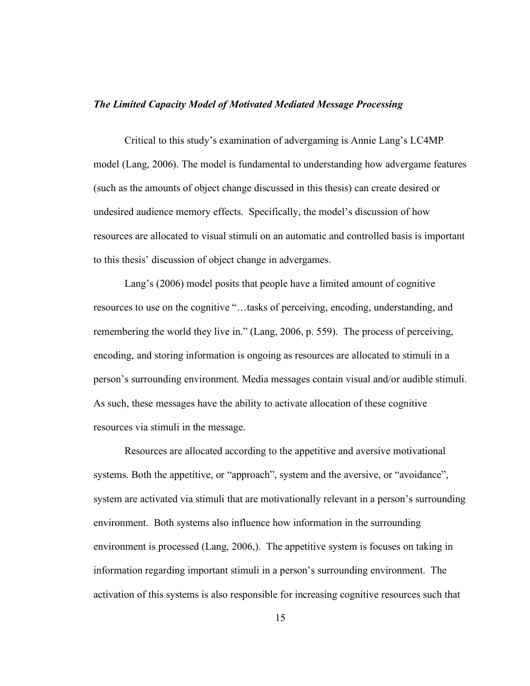#### *The Limited Capacity Model of Motivated Mediated Message Processing*

Critical to this study's examination of advergaming is Annie Lang's LC4MP model (Lang, 2006). The model is fundamental to understanding how advergame features (such as the amounts of object change discussed in this thesis) can create desired or undesired audience memory effects. Specifically, the model's discussion of how resources are allocated to visual stimuli on an automatic and controlled basis is important to this thesis' discussion of object change in advergames.

Lang's (2006) model posits that people have a limited amount of cognitive resources to use on the cognitive "…tasks of perceiving, encoding, understanding, and remembering the world they live in." (Lang, 2006, p. 559). The process of perceiving, encoding, and storing information is ongoing as resources are allocated to stimuli in a person's surrounding environment. Media messages contain visual and/or audible stimuli. As such, these messages have the ability to activate allocation of these cognitive resources via stimuli in the message.

Resources are allocated according to the appetitive and aversive motivational systems. Both the appetitive, or "approach", system and the aversive, or "avoidance", system are activated via stimuli that are motivationally relevant in a person's surrounding environment. Both systems also influence how information in the surrounding environment is processed (Lang, 2006,). The appetitive system is focuses on taking in information regarding important stimuli in a person's surrounding environment. The activation of this systems is also responsible for increasing cognitive resources such that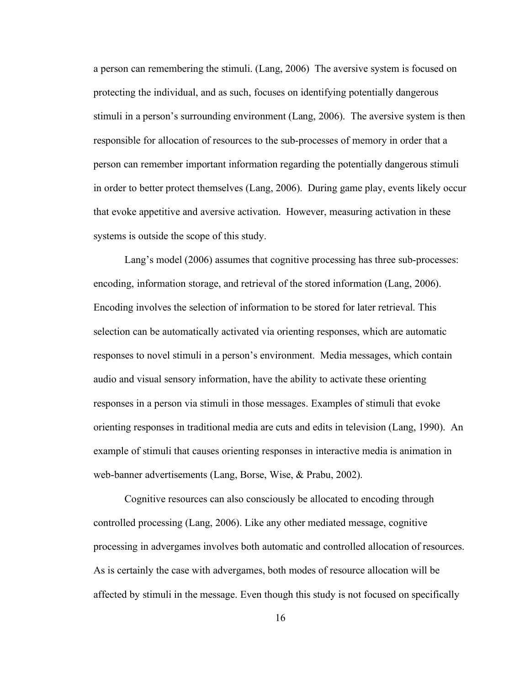a person can remembering the stimuli. (Lang, 2006) The aversive system is focused on protecting the individual, and as such, focuses on identifying potentially dangerous stimuli in a person's surrounding environment (Lang, 2006). The aversive system is then responsible for allocation of resources to the sub-processes of memory in order that a person can remember important information regarding the potentially dangerous stimuli in order to better protect themselves (Lang, 2006). During game play, events likely occur that evoke appetitive and aversive activation. However, measuring activation in these systems is outside the scope of this study.

Lang's model (2006) assumes that cognitive processing has three sub-processes: encoding, information storage, and retrieval of the stored information (Lang, 2006). Encoding involves the selection of information to be stored for later retrieval. This selection can be automatically activated via orienting responses, which are automatic responses to novel stimuli in a person's environment. Media messages, which contain audio and visual sensory information, have the ability to activate these orienting responses in a person via stimuli in those messages. Examples of stimuli that evoke orienting responses in traditional media are cuts and edits in television (Lang, 1990). An example of stimuli that causes orienting responses in interactive media is animation in web-banner advertisements (Lang, Borse, Wise, & Prabu, 2002).

Cognitive resources can also consciously be allocated to encoding through controlled processing (Lang, 2006). Like any other mediated message, cognitive processing in advergames involves both automatic and controlled allocation of resources. As is certainly the case with advergames, both modes of resource allocation will be affected by stimuli in the message. Even though this study is not focused on specifically

16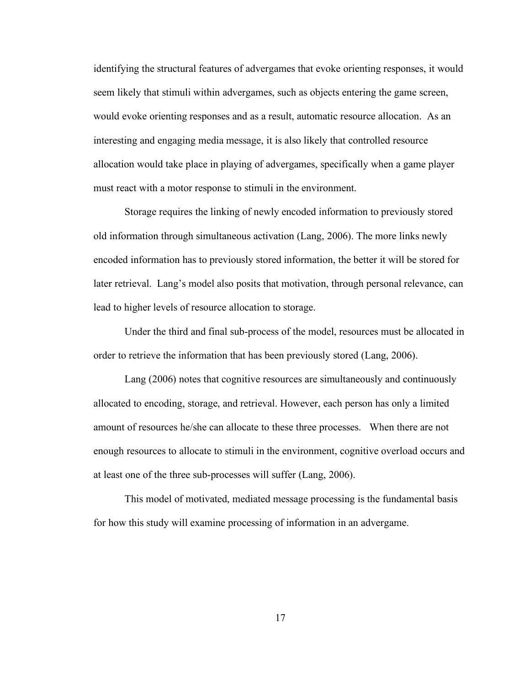identifying the structural features of advergames that evoke orienting responses, it would seem likely that stimuli within advergames, such as objects entering the game screen, would evoke orienting responses and as a result, automatic resource allocation. As an interesting and engaging media message, it is also likely that controlled resource allocation would take place in playing of advergames, specifically when a game player must react with a motor response to stimuli in the environment.

Storage requires the linking of newly encoded information to previously stored old information through simultaneous activation (Lang, 2006). The more links newly encoded information has to previously stored information, the better it will be stored for later retrieval. Lang's model also posits that motivation, through personal relevance, can lead to higher levels of resource allocation to storage.

Under the third and final sub-process of the model, resources must be allocated in order to retrieve the information that has been previously stored (Lang, 2006).

Lang (2006) notes that cognitive resources are simultaneously and continuously allocated to encoding, storage, and retrieval. However, each person has only a limited amount of resources he/she can allocate to these three processes. When there are not enough resources to allocate to stimuli in the environment, cognitive overload occurs and at least one of the three sub-processes will suffer (Lang, 2006).

This model of motivated, mediated message processing is the fundamental basis for how this study will examine processing of information in an advergame.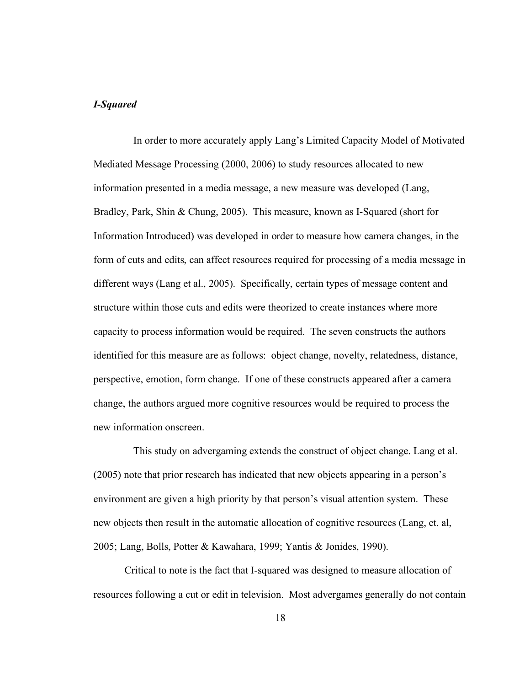#### *I-Squared*

In order to more accurately apply Lang's Limited Capacity Model of Motivated Mediated Message Processing (2000, 2006) to study resources allocated to new information presented in a media message, a new measure was developed (Lang, Bradley, Park, Shin & Chung, 2005). This measure, known as I-Squared (short for Information Introduced) was developed in order to measure how camera changes, in the form of cuts and edits, can affect resources required for processing of a media message in different ways (Lang et al., 2005). Specifically, certain types of message content and structure within those cuts and edits were theorized to create instances where more capacity to process information would be required. The seven constructs the authors identified for this measure are as follows: object change, novelty, relatedness, distance, perspective, emotion, form change. If one of these constructs appeared after a camera change, the authors argued more cognitive resources would be required to process the new information onscreen.

This study on advergaming extends the construct of object change. Lang et al. (2005) note that prior research has indicated that new objects appearing in a person's environment are given a high priority by that person's visual attention system. These new objects then result in the automatic allocation of cognitive resources (Lang, et. al, 2005; Lang, Bolls, Potter & Kawahara, 1999; Yantis & Jonides, 1990).

Critical to note is the fact that I-squared was designed to measure allocation of resources following a cut or edit in television. Most advergames generally do not contain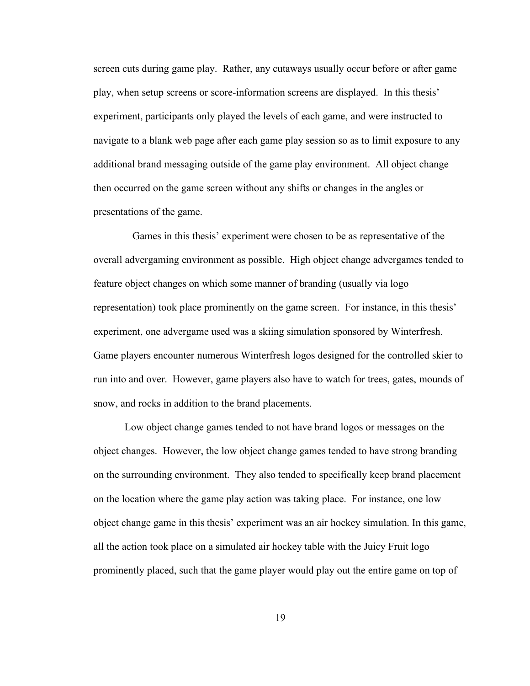screen cuts during game play. Rather, any cutaways usually occur before or after game play, when setup screens or score-information screens are displayed. In this thesis' experiment, participants only played the levels of each game, and were instructed to navigate to a blank web page after each game play session so as to limit exposure to any additional brand messaging outside of the game play environment. All object change then occurred on the game screen without any shifts or changes in the angles or presentations of the game.

Games in this thesis' experiment were chosen to be as representative of the overall advergaming environment as possible. High object change advergames tended to feature object changes on which some manner of branding (usually via logo representation) took place prominently on the game screen. For instance, in this thesis' experiment, one advergame used was a skiing simulation sponsored by Winterfresh. Game players encounter numerous Winterfresh logos designed for the controlled skier to run into and over. However, game players also have to watch for trees, gates, mounds of snow, and rocks in addition to the brand placements.

Low object change games tended to not have brand logos or messages on the object changes. However, the low object change games tended to have strong branding on the surrounding environment. They also tended to specifically keep brand placement on the location where the game play action was taking place. For instance, one low object change game in this thesis' experiment was an air hockey simulation. In this game, all the action took place on a simulated air hockey table with the Juicy Fruit logo prominently placed, such that the game player would play out the entire game on top of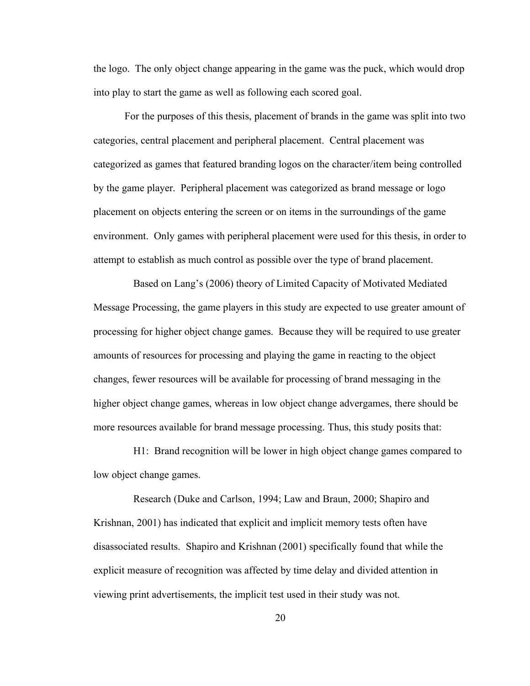the logo. The only object change appearing in the game was the puck, which would drop into play to start the game as well as following each scored goal.

For the purposes of this thesis, placement of brands in the game was split into two categories, central placement and peripheral placement. Central placement was categorized as games that featured branding logos on the character/item being controlled by the game player. Peripheral placement was categorized as brand message or logo placement on objects entering the screen or on items in the surroundings of the game environment. Only games with peripheral placement were used for this thesis, in order to attempt to establish as much control as possible over the type of brand placement.

Based on Lang's (2006) theory of Limited Capacity of Motivated Mediated Message Processing, the game players in this study are expected to use greater amount of processing for higher object change games. Because they will be required to use greater amounts of resources for processing and playing the game in reacting to the object changes, fewer resources will be available for processing of brand messaging in the higher object change games, whereas in low object change advergames, there should be more resources available for brand message processing. Thus, this study posits that:

H1: Brand recognition will be lower in high object change games compared to low object change games.

Research (Duke and Carlson, 1994; Law and Braun, 2000; Shapiro and Krishnan, 2001) has indicated that explicit and implicit memory tests often have disassociated results. Shapiro and Krishnan (2001) specifically found that while the explicit measure of recognition was affected by time delay and divided attention in viewing print advertisements, the implicit test used in their study was not.

20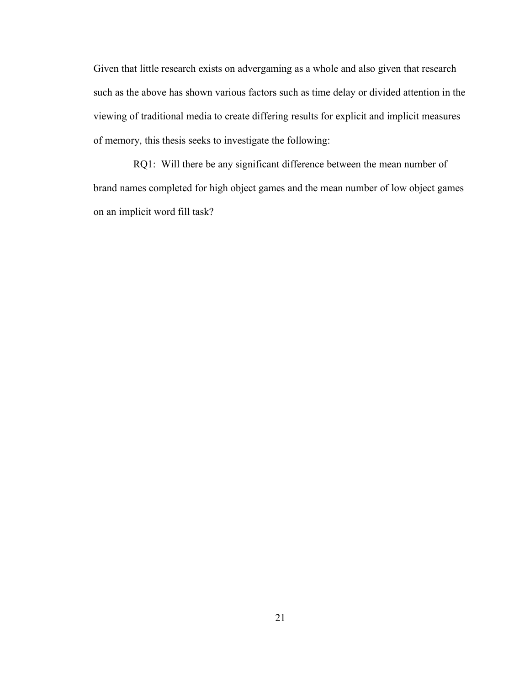Given that little research exists on advergaming as a whole and also given that research such as the above has shown various factors such as time delay or divided attention in the viewing of traditional media to create differing results for explicit and implicit measures of memory, this thesis seeks to investigate the following:

RQ1: Will there be any significant difference between the mean number of brand names completed for high object games and the mean number of low object games on an implicit word fill task?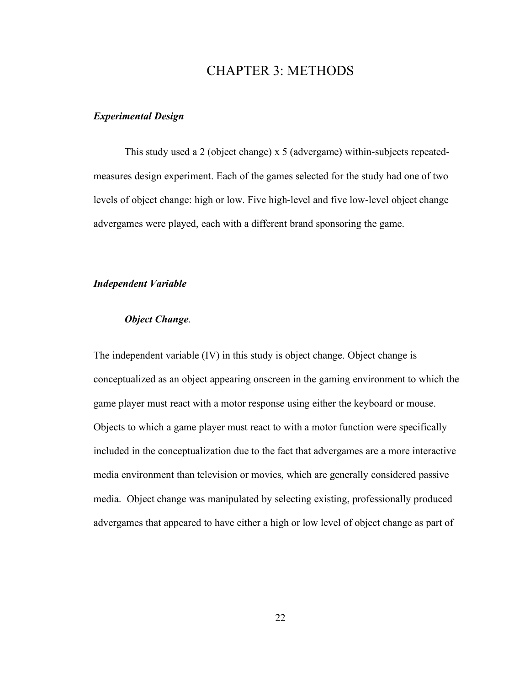## CHAPTER 3: METHODS

### *Experimental Design*

This study used a 2 (object change) x 5 (advergame) within-subjects repeatedmeasures design experiment. Each of the games selected for the study had one of two levels of object change: high or low. Five high-level and five low-level object change advergames were played, each with a different brand sponsoring the game.

#### *Independent Variable*

### *Object Change*.

The independent variable (IV) in this study is object change. Object change is conceptualized as an object appearing onscreen in the gaming environment to which the game player must react with a motor response using either the keyboard or mouse. Objects to which a game player must react to with a motor function were specifically included in the conceptualization due to the fact that advergames are a more interactive media environment than television or movies, which are generally considered passive media. Object change was manipulated by selecting existing, professionally produced advergames that appeared to have either a high or low level of object change as part of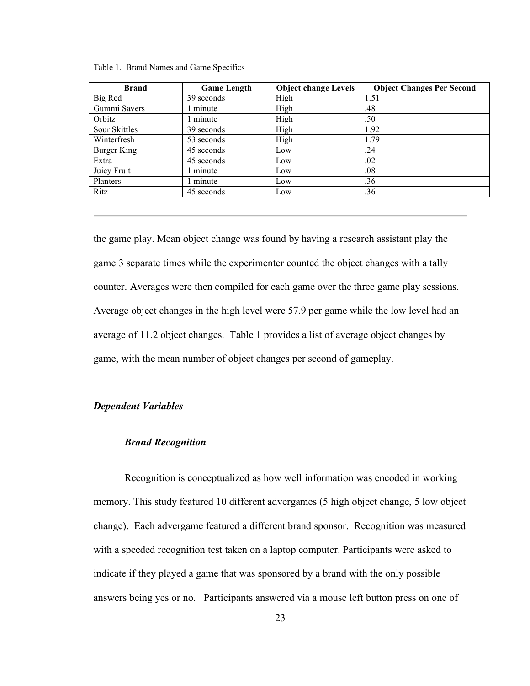Table 1. Brand Names and Game Specifics

| Brand                | <b>Game Length</b> | <b>Object change Levels</b> | <b>Object Changes Per Second</b> |
|----------------------|--------------------|-----------------------------|----------------------------------|
| Big Red              | 39 seconds         | High                        | 1.51                             |
| Gummi Savers         | minute             | High                        | .48                              |
| Orbitz               | minute             | High                        | .50                              |
| <b>Sour Skittles</b> | 39 seconds         | High                        | 1.92                             |
| Winterfresh          | 53 seconds         | High                        | 1.79                             |
| Burger King          | 45 seconds         | Low                         | .24                              |
| Extra                | 45 seconds         | Low                         | .02                              |
| Juicy Fruit          | minute             | Low                         | .08                              |
| Planters             | l minute           | Low                         | .36                              |
| Ritz                 | 45 seconds         | Low                         | .36                              |

the game play. Mean object change was found by having a research assistant play the game 3 separate times while the experimenter counted the object changes with a tally counter. Averages were then compiled for each game over the three game play sessions. Average object changes in the high level were 57.9 per game while the low level had an average of 11.2 object changes. Table 1 provides a list of average object changes by game, with the mean number of object changes per second of gameplay.

#### *Dependent Variables*

#### *Brand Recognition*

Recognition is conceptualized as how well information was encoded in working memory. This study featured 10 different advergames (5 high object change, 5 low object change). Each advergame featured a different brand sponsor. Recognition was measured with a speeded recognition test taken on a laptop computer. Participants were asked to indicate if they played a game that was sponsored by a brand with the only possible answers being yes or no. Participants answered via a mouse left button press on one of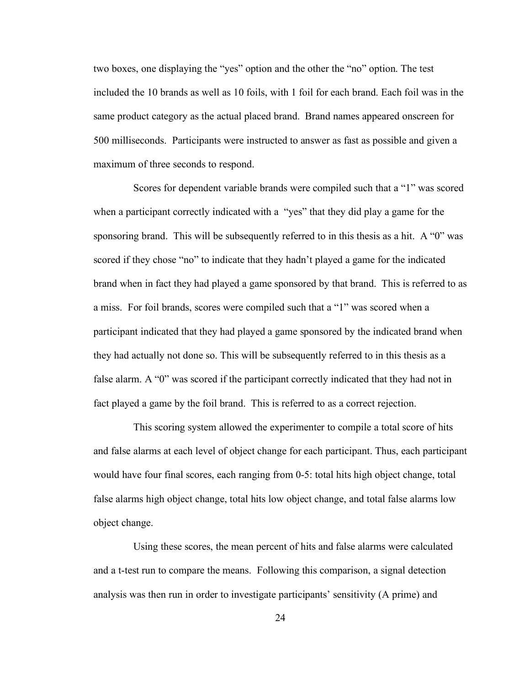two boxes, one displaying the "yes" option and the other the "no" option. The test included the 10 brands as well as 10 foils, with 1 foil for each brand. Each foil was in the same product category as the actual placed brand. Brand names appeared onscreen for 500 milliseconds. Participants were instructed to answer as fast as possible and given a maximum of three seconds to respond.

Scores for dependent variable brands were compiled such that a "1" was scored when a participant correctly indicated with a "yes" that they did play a game for the sponsoring brand. This will be subsequently referred to in this thesis as a hit. A "0" was scored if they chose "no" to indicate that they hadn't played a game for the indicated brand when in fact they had played a game sponsored by that brand. This is referred to as a miss. For foil brands, scores were compiled such that a "1" was scored when a participant indicated that they had played a game sponsored by the indicated brand when they had actually not done so. This will be subsequently referred to in this thesis as a false alarm. A "0" was scored if the participant correctly indicated that they had not in fact played a game by the foil brand. This is referred to as a correct rejection.

This scoring system allowed the experimenter to compile a total score of hits and false alarms at each level of object change for each participant. Thus, each participant would have four final scores, each ranging from 0-5: total hits high object change, total false alarms high object change, total hits low object change, and total false alarms low object change.

Using these scores, the mean percent of hits and false alarms were calculated and a t-test run to compare the means. Following this comparison, a signal detection analysis was then run in order to investigate participants' sensitivity (A prime) and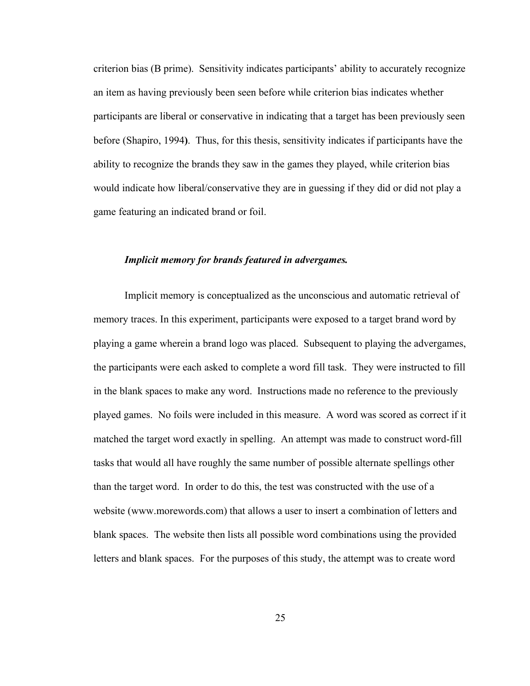criterion bias (B prime). Sensitivity indicates participants' ability to accurately recognize an item as having previously been seen before while criterion bias indicates whether participants are liberal or conservative in indicating that a target has been previously seen before (Shapiro, 1994**)**. Thus, for this thesis, sensitivity indicates if participants have the ability to recognize the brands they saw in the games they played, while criterion bias would indicate how liberal/conservative they are in guessing if they did or did not play a game featuring an indicated brand or foil.

#### *Implicit memory for brands featured in advergames.*

Implicit memory is conceptualized as the unconscious and automatic retrieval of memory traces. In this experiment, participants were exposed to a target brand word by playing a game wherein a brand logo was placed. Subsequent to playing the advergames, the participants were each asked to complete a word fill task. They were instructed to fill in the blank spaces to make any word. Instructions made no reference to the previously played games. No foils were included in this measure. A word was scored as correct if it matched the target word exactly in spelling. An attempt was made to construct word-fill tasks that would all have roughly the same number of possible alternate spellings other than the target word. In order to do this, the test was constructed with the use of a website (www.morewords.com) that allows a user to insert a combination of letters and blank spaces. The website then lists all possible word combinations using the provided letters and blank spaces. For the purposes of this study, the attempt was to create word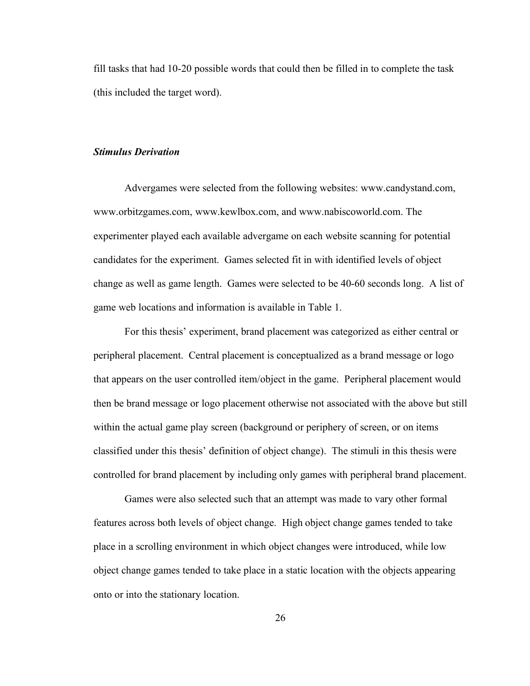fill tasks that had 10-20 possible words that could then be filled in to complete the task (this included the target word).

#### *Stimulus Derivation*

Advergames were selected from the following websites: www.candystand.com, www.orbitzgames.com, www.kewlbox.com, and www.nabiscoworld.com. The experimenter played each available advergame on each website scanning for potential candidates for the experiment. Games selected fit in with identified levels of object change as well as game length. Games were selected to be 40-60 seconds long. A list of game web locations and information is available in Table 1.

For this thesis' experiment, brand placement was categorized as either central or peripheral placement. Central placement is conceptualized as a brand message or logo that appears on the user controlled item/object in the game. Peripheral placement would then be brand message or logo placement otherwise not associated with the above but still within the actual game play screen (background or periphery of screen, or on items classified under this thesis' definition of object change). The stimuli in this thesis were controlled for brand placement by including only games with peripheral brand placement.

Games were also selected such that an attempt was made to vary other formal features across both levels of object change. High object change games tended to take place in a scrolling environment in which object changes were introduced, while low object change games tended to take place in a static location with the objects appearing onto or into the stationary location.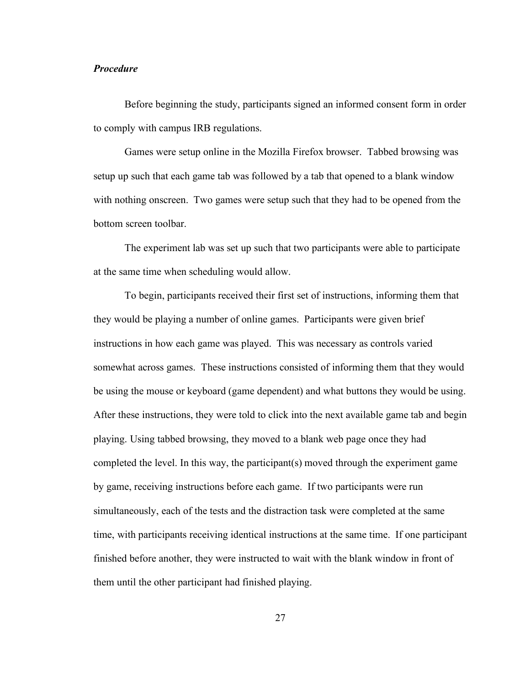#### *Procedure*

Before beginning the study, participants signed an informed consent form in order to comply with campus IRB regulations.

Games were setup online in the Mozilla Firefox browser. Tabbed browsing was setup up such that each game tab was followed by a tab that opened to a blank window with nothing onscreen. Two games were setup such that they had to be opened from the bottom screen toolbar.

The experiment lab was set up such that two participants were able to participate at the same time when scheduling would allow.

To begin, participants received their first set of instructions, informing them that they would be playing a number of online games. Participants were given brief instructions in how each game was played. This was necessary as controls varied somewhat across games. These instructions consisted of informing them that they would be using the mouse or keyboard (game dependent) and what buttons they would be using. After these instructions, they were told to click into the next available game tab and begin playing. Using tabbed browsing, they moved to a blank web page once they had completed the level. In this way, the participant(s) moved through the experiment game by game, receiving instructions before each game. If two participants were run simultaneously, each of the tests and the distraction task were completed at the same time, with participants receiving identical instructions at the same time. If one participant finished before another, they were instructed to wait with the blank window in front of them until the other participant had finished playing.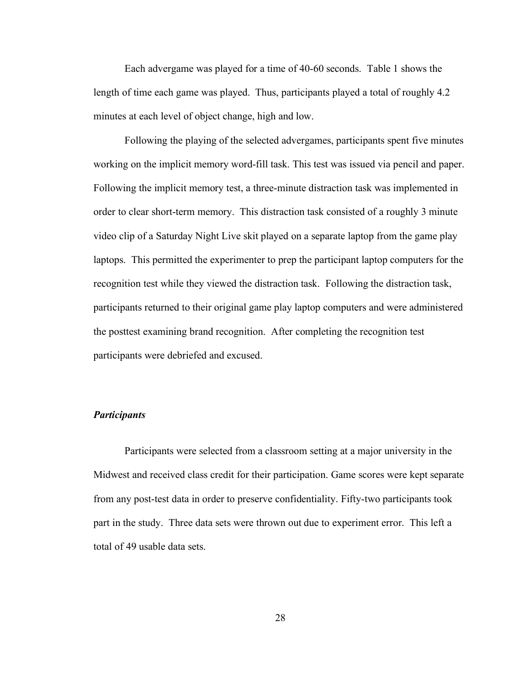Each advergame was played for a time of 40-60 seconds. Table 1 shows the length of time each game was played. Thus, participants played a total of roughly 4.2 minutes at each level of object change, high and low.

Following the playing of the selected advergames, participants spent five minutes working on the implicit memory word-fill task. This test was issued via pencil and paper. Following the implicit memory test, a three-minute distraction task was implemented in order to clear short-term memory. This distraction task consisted of a roughly 3 minute video clip of a Saturday Night Live skit played on a separate laptop from the game play laptops. This permitted the experimenter to prep the participant laptop computers for the recognition test while they viewed the distraction task. Following the distraction task, participants returned to their original game play laptop computers and were administered the posttest examining brand recognition. After completing the recognition test participants were debriefed and excused.

#### *Participants*

Participants were selected from a classroom setting at a major university in the Midwest and received class credit for their participation. Game scores were kept separate from any post-test data in order to preserve confidentiality. Fifty-two participants took part in the study. Three data sets were thrown out due to experiment error. This left a total of 49 usable data sets.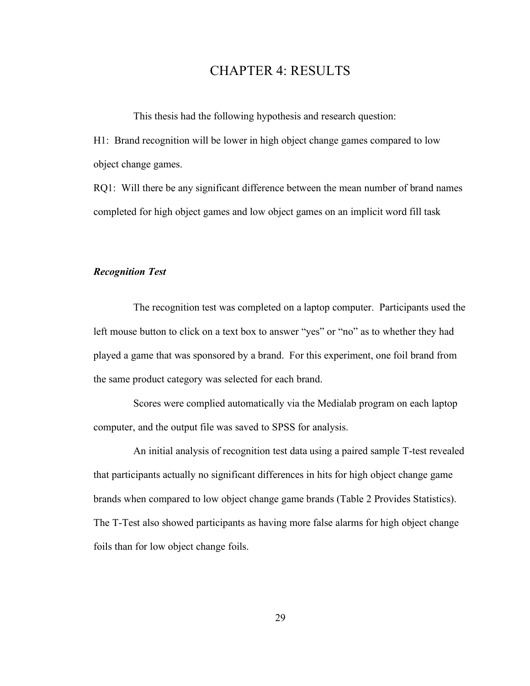## CHAPTER 4: RESULTS

This thesis had the following hypothesis and research question:

H1: Brand recognition will be lower in high object change games compared to low object change games.

RQ1: Will there be any significant difference between the mean number of brand names completed for high object games and low object games on an implicit word fill task

### *Recognition Test*

The recognition test was completed on a laptop computer. Participants used the left mouse button to click on a text box to answer "yes" or "no" as to whether they had played a game that was sponsored by a brand. For this experiment, one foil brand from the same product category was selected for each brand.

Scores were complied automatically via the Medialab program on each laptop computer, and the output file was saved to SPSS for analysis.

An initial analysis of recognition test data using a paired sample T-test revealed that participants actually no significant differences in hits for high object change game brands when compared to low object change game brands (Table 2 Provides Statistics). The T-Test also showed participants as having more false alarms for high object change foils than for low object change foils.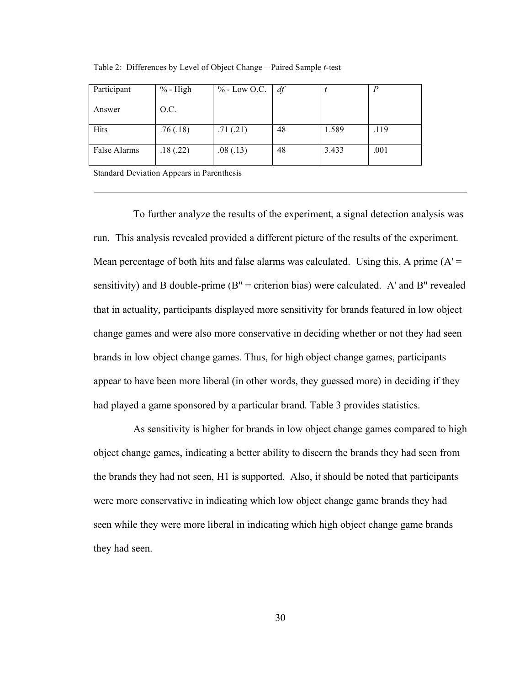| Participant  | $%$ - High | $\%$ - Low O.C. | df |       | P    |
|--------------|------------|-----------------|----|-------|------|
| Answer       | O.C.       |                 |    |       |      |
| Hits         | .76(.18)   | .71(.21)        | 48 | 1.589 | .119 |
| False Alarms | .18(.22)   | .08(.13)        | 48 | 3.433 | .001 |

Table 2: Differences by Level of Object Change – Paired Sample *t*-test

Standard Deviation Appears in Parenthesis

To further analyze the results of the experiment, a signal detection analysis was run. This analysis revealed provided a different picture of the results of the experiment. Mean percentage of both hits and false alarms was calculated. Using this, A prime  $(A' =$ sensitivity) and B double-prime  $(B'' =$  criterion bias) were calculated. A' and B" revealed that in actuality, participants displayed more sensitivity for brands featured in low object change games and were also more conservative in deciding whether or not they had seen brands in low object change games. Thus, for high object change games, participants appear to have been more liberal (in other words, they guessed more) in deciding if they had played a game sponsored by a particular brand. Table 3 provides statistics.

As sensitivity is higher for brands in low object change games compared to high object change games, indicating a better ability to discern the brands they had seen from the brands they had not seen, H1 is supported. Also, it should be noted that participants were more conservative in indicating which low object change game brands they had seen while they were more liberal in indicating which high object change game brands they had seen.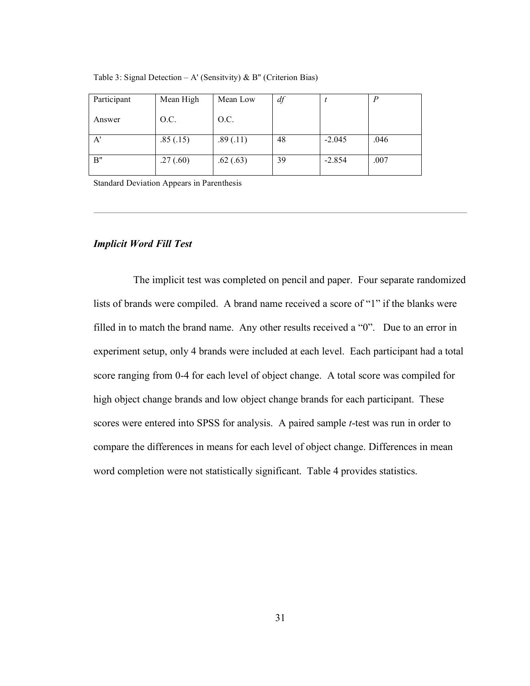| Participant | Mean High | Mean Low | df |          |      |
|-------------|-----------|----------|----|----------|------|
| Answer      | O.C.      | O.C.     |    |          |      |
| A'          | .85(.15)  | .89(.11) | 48 | $-2.045$ | .046 |
| B"          | .27(.60)  | .62(.63) | 39 | $-2.854$ | .007 |

Table 3: Signal Detection – A' (Sensitvity) & B" (Criterion Bias)

Standard Deviation Appears in Parenthesis

### *Implicit Word Fill Test*

The implicit test was completed on pencil and paper. Four separate randomized lists of brands were compiled. A brand name received a score of "1" if the blanks were filled in to match the brand name. Any other results received a "0". Due to an error in experiment setup, only 4 brands were included at each level. Each participant had a total score ranging from 0-4 for each level of object change. A total score was compiled for high object change brands and low object change brands for each participant. These scores were entered into SPSS for analysis. A paired sample *t*-test was run in order to compare the differences in means for each level of object change. Differences in mean word completion were not statistically significant. Table 4 provides statistics.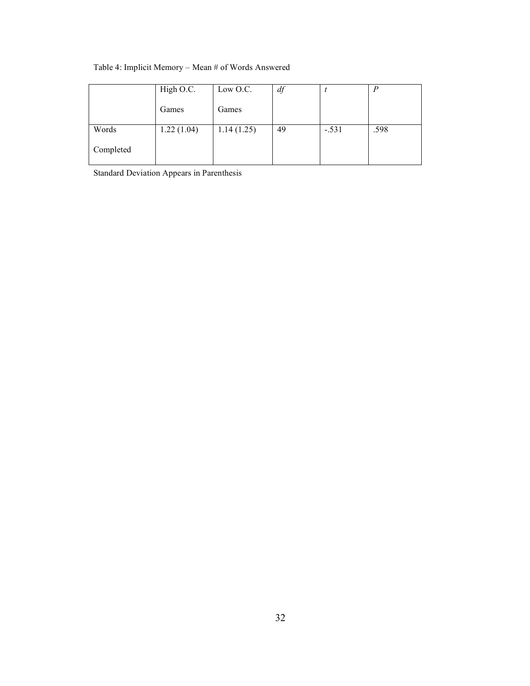#### Table 4: Implicit Memory – Mean # of Words Answered

|           | High O.C.  | Low O.C.   | df |         |      |
|-----------|------------|------------|----|---------|------|
|           | Games      | Games      |    |         |      |
| Words     | 1.22(1.04) | 1.14(1.25) | 49 | $-.531$ | .598 |
| Completed |            |            |    |         |      |

Standard Deviation Appears in Parenthesis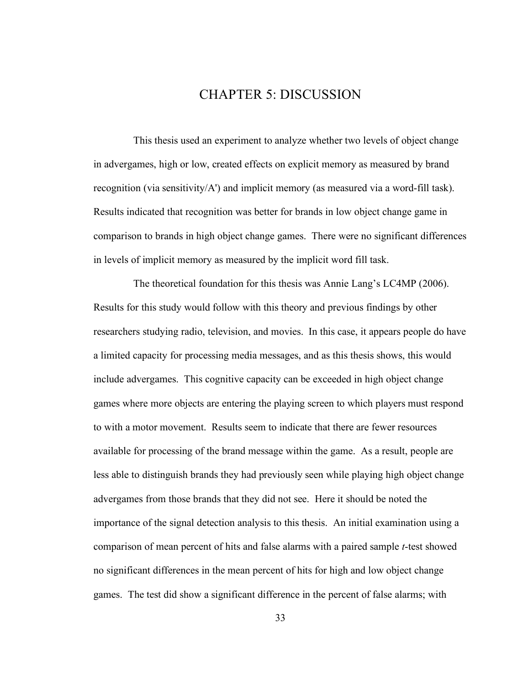### CHAPTER 5: DISCUSSION

This thesis used an experiment to analyze whether two levels of object change in advergames, high or low, created effects on explicit memory as measured by brand recognition (via sensitivity/A') and implicit memory (as measured via a word-fill task). Results indicated that recognition was better for brands in low object change game in comparison to brands in high object change games. There were no significant differences in levels of implicit memory as measured by the implicit word fill task.

The theoretical foundation for this thesis was Annie Lang's LC4MP (2006). Results for this study would follow with this theory and previous findings by other researchers studying radio, television, and movies. In this case, it appears people do have a limited capacity for processing media messages, and as this thesis shows, this would include advergames. This cognitive capacity can be exceeded in high object change games where more objects are entering the playing screen to which players must respond to with a motor movement. Results seem to indicate that there are fewer resources available for processing of the brand message within the game. As a result, people are less able to distinguish brands they had previously seen while playing high object change advergames from those brands that they did not see. Here it should be noted the importance of the signal detection analysis to this thesis. An initial examination using a comparison of mean percent of hits and false alarms with a paired sample *t*-test showed no significant differences in the mean percent of hits for high and low object change games. The test did show a significant difference in the percent of false alarms; with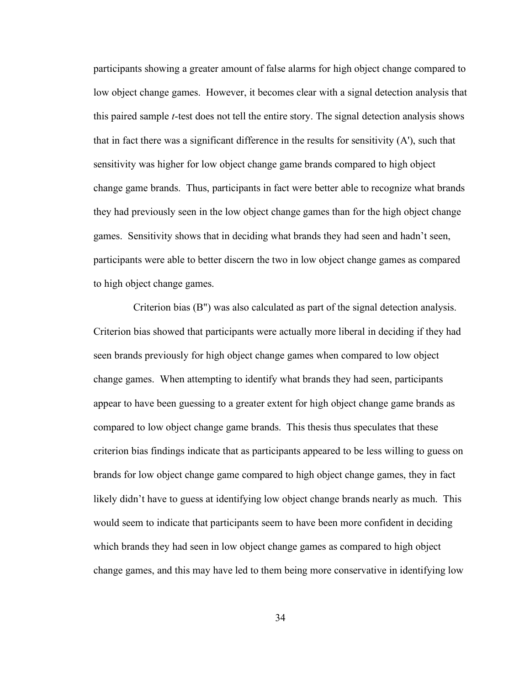participants showing a greater amount of false alarms for high object change compared to low object change games. However, it becomes clear with a signal detection analysis that this paired sample *t*-test does not tell the entire story. The signal detection analysis shows that in fact there was a significant difference in the results for sensitivity  $(A')$ , such that sensitivity was higher for low object change game brands compared to high object change game brands. Thus, participants in fact were better able to recognize what brands they had previously seen in the low object change games than for the high object change games. Sensitivity shows that in deciding what brands they had seen and hadn't seen, participants were able to better discern the two in low object change games as compared to high object change games.

Criterion bias (B") was also calculated as part of the signal detection analysis. Criterion bias showed that participants were actually more liberal in deciding if they had seen brands previously for high object change games when compared to low object change games. When attempting to identify what brands they had seen, participants appear to have been guessing to a greater extent for high object change game brands as compared to low object change game brands. This thesis thus speculates that these criterion bias findings indicate that as participants appeared to be less willing to guess on brands for low object change game compared to high object change games, they in fact likely didn't have to guess at identifying low object change brands nearly as much. This would seem to indicate that participants seem to have been more confident in deciding which brands they had seen in low object change games as compared to high object change games, and this may have led to them being more conservative in identifying low

34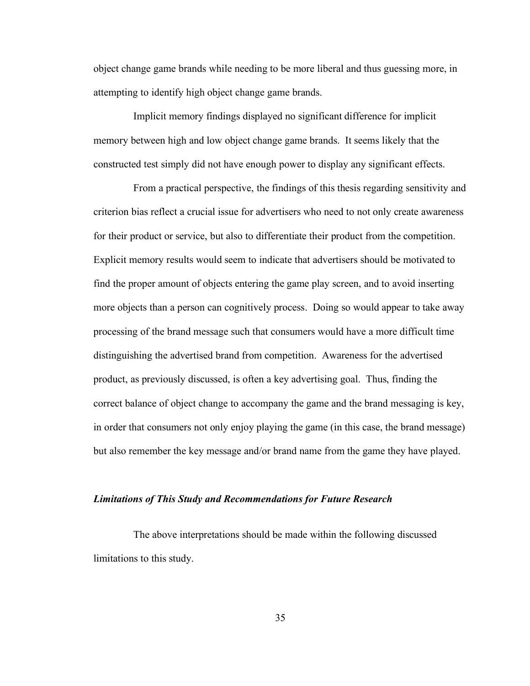object change game brands while needing to be more liberal and thus guessing more, in attempting to identify high object change game brands.

Implicit memory findings displayed no significant difference for implicit memory between high and low object change game brands. It seems likely that the constructed test simply did not have enough power to display any significant effects.

From a practical perspective, the findings of this thesis regarding sensitivity and criterion bias reflect a crucial issue for advertisers who need to not only create awareness for their product or service, but also to differentiate their product from the competition. Explicit memory results would seem to indicate that advertisers should be motivated to find the proper amount of objects entering the game play screen, and to avoid inserting more objects than a person can cognitively process. Doing so would appear to take away processing of the brand message such that consumers would have a more difficult time distinguishing the advertised brand from competition. Awareness for the advertised product, as previously discussed, is often a key advertising goal. Thus, finding the correct balance of object change to accompany the game and the brand messaging is key, in order that consumers not only enjoy playing the game (in this case, the brand message) but also remember the key message and/or brand name from the game they have played.

#### *Limitations of This Study and Recommendations for Future Research*

The above interpretations should be made within the following discussed limitations to this study.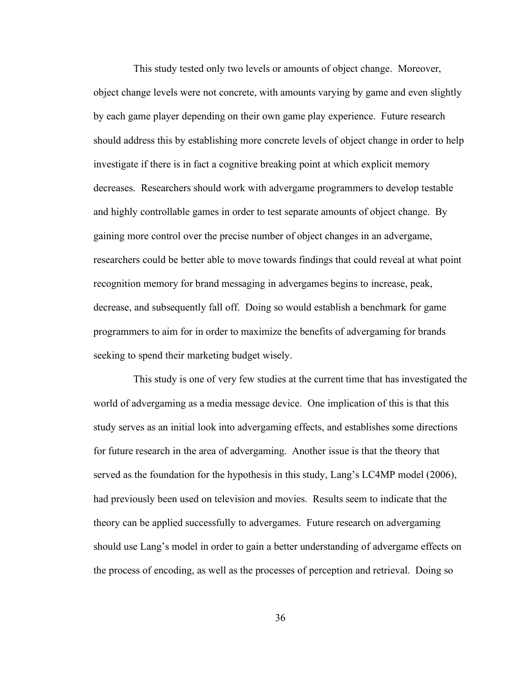This study tested only two levels or amounts of object change. Moreover, object change levels were not concrete, with amounts varying by game and even slightly by each game player depending on their own game play experience. Future research should address this by establishing more concrete levels of object change in order to help investigate if there is in fact a cognitive breaking point at which explicit memory decreases. Researchers should work with advergame programmers to develop testable and highly controllable games in order to test separate amounts of object change. By gaining more control over the precise number of object changes in an advergame, researchers could be better able to move towards findings that could reveal at what point recognition memory for brand messaging in advergames begins to increase, peak, decrease, and subsequently fall off. Doing so would establish a benchmark for game programmers to aim for in order to maximize the benefits of advergaming for brands seeking to spend their marketing budget wisely.

This study is one of very few studies at the current time that has investigated the world of advergaming as a media message device. One implication of this is that this study serves as an initial look into advergaming effects, and establishes some directions for future research in the area of advergaming. Another issue is that the theory that served as the foundation for the hypothesis in this study, Lang's LC4MP model (2006), had previously been used on television and movies. Results seem to indicate that the theory can be applied successfully to advergames. Future research on advergaming should use Lang's model in order to gain a better understanding of advergame effects on the process of encoding, as well as the processes of perception and retrieval. Doing so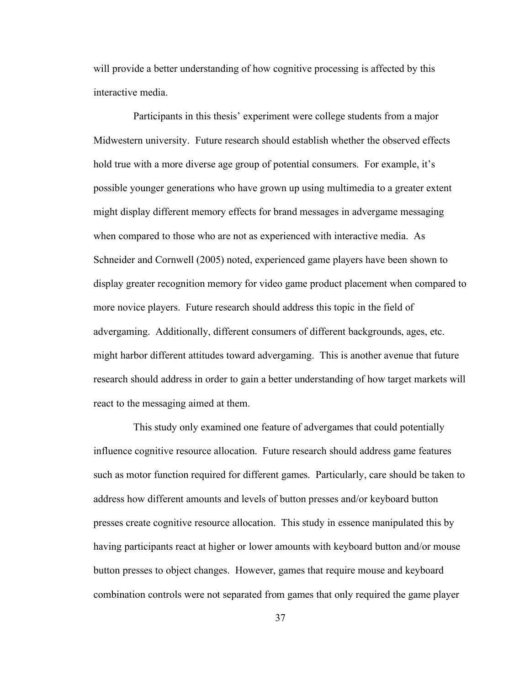will provide a better understanding of how cognitive processing is affected by this interactive media.

Participants in this thesis' experiment were college students from a major Midwestern university. Future research should establish whether the observed effects hold true with a more diverse age group of potential consumers. For example, it's possible younger generations who have grown up using multimedia to a greater extent might display different memory effects for brand messages in advergame messaging when compared to those who are not as experienced with interactive media. As Schneider and Cornwell (2005) noted, experienced game players have been shown to display greater recognition memory for video game product placement when compared to more novice players. Future research should address this topic in the field of advergaming. Additionally, different consumers of different backgrounds, ages, etc. might harbor different attitudes toward advergaming. This is another avenue that future research should address in order to gain a better understanding of how target markets will react to the messaging aimed at them.

This study only examined one feature of advergames that could potentially influence cognitive resource allocation. Future research should address game features such as motor function required for different games. Particularly, care should be taken to address how different amounts and levels of button presses and/or keyboard button presses create cognitive resource allocation. This study in essence manipulated this by having participants react at higher or lower amounts with keyboard button and/or mouse button presses to object changes. However, games that require mouse and keyboard combination controls were not separated from games that only required the game player

37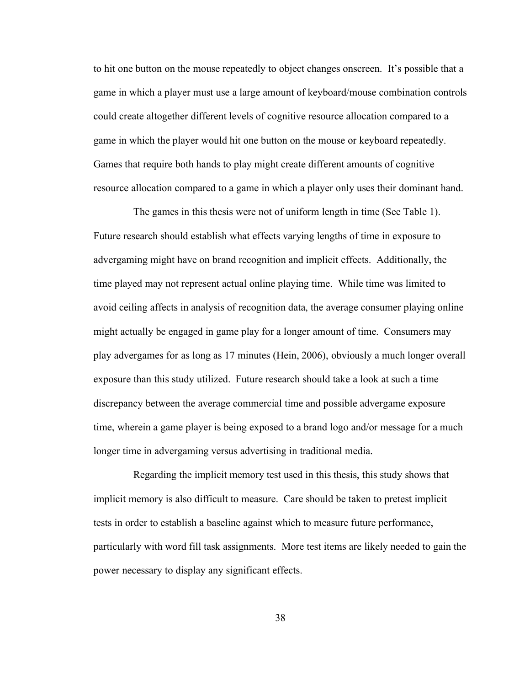to hit one button on the mouse repeatedly to object changes onscreen. It's possible that a game in which a player must use a large amount of keyboard/mouse combination controls could create altogether different levels of cognitive resource allocation compared to a game in which the player would hit one button on the mouse or keyboard repeatedly. Games that require both hands to play might create different amounts of cognitive resource allocation compared to a game in which a player only uses their dominant hand.

The games in this thesis were not of uniform length in time (See Table 1). Future research should establish what effects varying lengths of time in exposure to advergaming might have on brand recognition and implicit effects. Additionally, the time played may not represent actual online playing time. While time was limited to avoid ceiling affects in analysis of recognition data, the average consumer playing online might actually be engaged in game play for a longer amount of time. Consumers may play advergames for as long as 17 minutes (Hein, 2006), obviously a much longer overall exposure than this study utilized. Future research should take a look at such a time discrepancy between the average commercial time and possible advergame exposure time, wherein a game player is being exposed to a brand logo and/or message for a much longer time in advergaming versus advertising in traditional media.

Regarding the implicit memory test used in this thesis, this study shows that implicit memory is also difficult to measure. Care should be taken to pretest implicit tests in order to establish a baseline against which to measure future performance, particularly with word fill task assignments. More test items are likely needed to gain the power necessary to display any significant effects.

38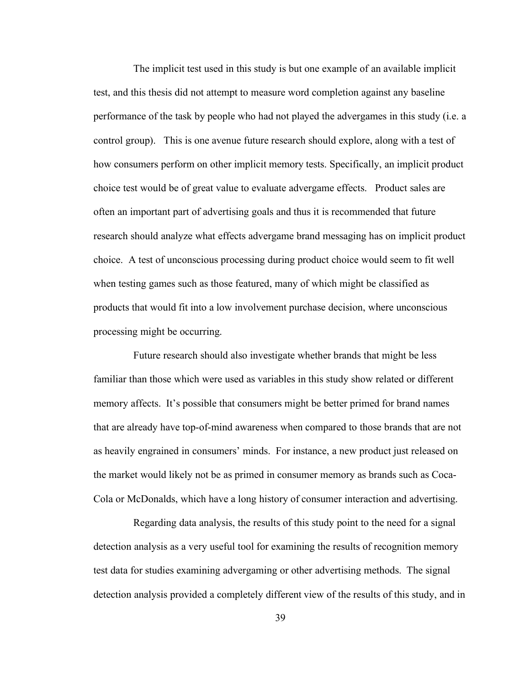The implicit test used in this study is but one example of an available implicit test, and this thesis did not attempt to measure word completion against any baseline performance of the task by people who had not played the advergames in this study (i.e. a control group). This is one avenue future research should explore, along with a test of how consumers perform on other implicit memory tests. Specifically, an implicit product choice test would be of great value to evaluate advergame effects. Product sales are often an important part of advertising goals and thus it is recommended that future research should analyze what effects advergame brand messaging has on implicit product choice. A test of unconscious processing during product choice would seem to fit well when testing games such as those featured, many of which might be classified as products that would fit into a low involvement purchase decision, where unconscious processing might be occurring.

Future research should also investigate whether brands that might be less familiar than those which were used as variables in this study show related or different memory affects. It's possible that consumers might be better primed for brand names that are already have top-of-mind awareness when compared to those brands that are not as heavily engrained in consumers' minds. For instance, a new product just released on the market would likely not be as primed in consumer memory as brands such as Coca-Cola or McDonalds, which have a long history of consumer interaction and advertising.

Regarding data analysis, the results of this study point to the need for a signal detection analysis as a very useful tool for examining the results of recognition memory test data for studies examining advergaming or other advertising methods. The signal detection analysis provided a completely different view of the results of this study, and in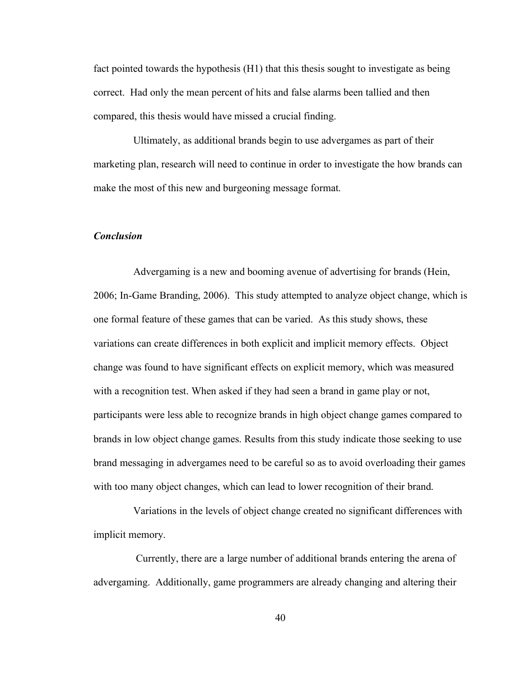fact pointed towards the hypothesis (H1) that this thesis sought to investigate as being correct. Had only the mean percent of hits and false alarms been tallied and then compared, this thesis would have missed a crucial finding.

Ultimately, as additional brands begin to use advergames as part of their marketing plan, research will need to continue in order to investigate the how brands can make the most of this new and burgeoning message format.

#### *Conclusion*

Advergaming is a new and booming avenue of advertising for brands (Hein, 2006; In-Game Branding, 2006). This study attempted to analyze object change, which is one formal feature of these games that can be varied. As this study shows, these variations can create differences in both explicit and implicit memory effects. Object change was found to have significant effects on explicit memory, which was measured with a recognition test. When asked if they had seen a brand in game play or not, participants were less able to recognize brands in high object change games compared to brands in low object change games. Results from this study indicate those seeking to use brand messaging in advergames need to be careful so as to avoid overloading their games with too many object changes, which can lead to lower recognition of their brand.

Variations in the levels of object change created no significant differences with implicit memory.

Currently, there are a large number of additional brands entering the arena of advergaming. Additionally, game programmers are already changing and altering their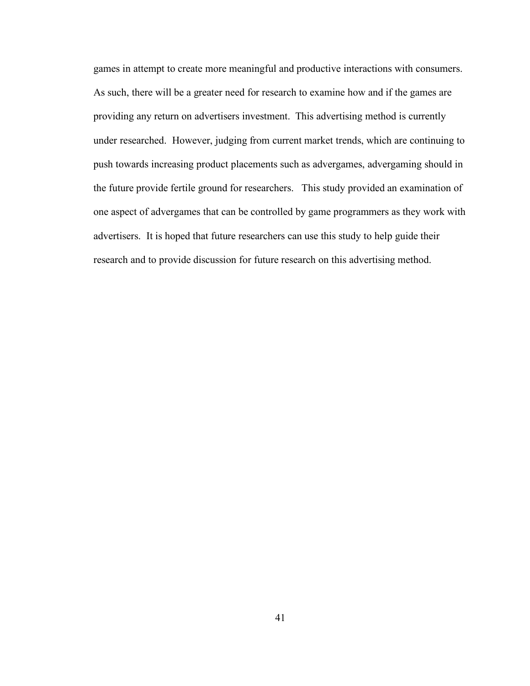games in attempt to create more meaningful and productive interactions with consumers. As such, there will be a greater need for research to examine how and if the games are providing any return on advertisers investment. This advertising method is currently under researched. However, judging from current market trends, which are continuing to push towards increasing product placements such as advergames, advergaming should in the future provide fertile ground for researchers. This study provided an examination of one aspect of advergames that can be controlled by game programmers as they work with advertisers. It is hoped that future researchers can use this study to help guide their research and to provide discussion for future research on this advertising method.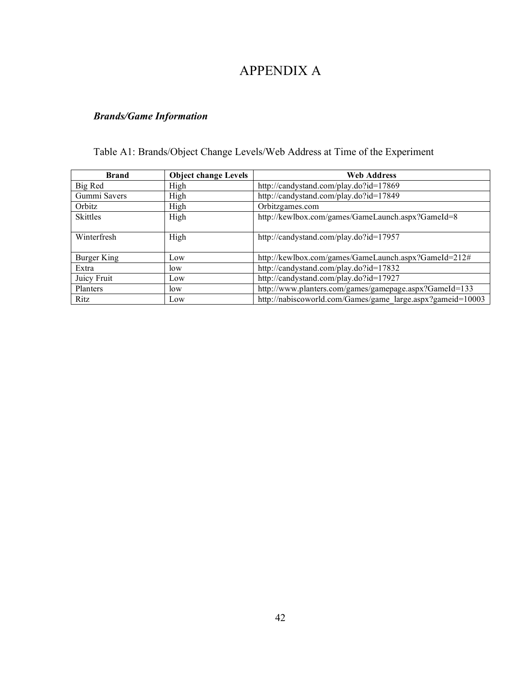# APPENDIX A

# *Brands/Game Information*

# Table A1: Brands/Object Change Levels/Web Address at Time of the Experiment

| <b>Brand</b>    | <b>Object change Levels</b> | <b>Web Address</b>                                         |
|-----------------|-----------------------------|------------------------------------------------------------|
| Big Red         | High                        | http://candystand.com/play.do?id=17869                     |
| Gummi Savers    | High                        | http://candystand.com/play.do?id=17849                     |
| Orbitz          | High                        | Orbitzgames.com                                            |
| <b>Skittles</b> | High                        | http://kewlbox.com/games/GameLaunch.aspx?GameId=8          |
| Winterfresh     | High                        | http://candystand.com/play.do?id=17957                     |
| Burger King     | Low                         | http://kewlbox.com/games/GameLaunch.aspx?GameId=212#       |
| Extra           | low                         | http://candystand.com/play.do?id=17832                     |
| Juicy Fruit     | Low                         | http://candystand.com/play.do?id=17927                     |
| Planters        | low                         | http://www.planters.com/games/gamepage.aspx?GameId=133     |
| Ritz            | Low                         | http://nabiscoworld.com/Games/game_large.aspx?gameid=10003 |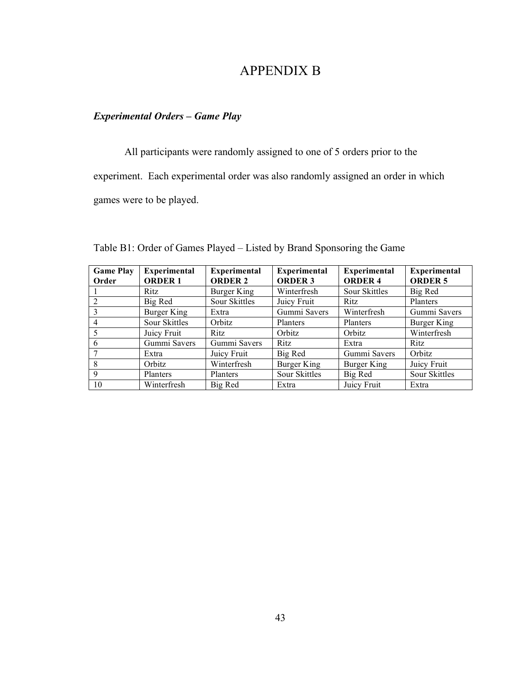# APPENDIX B

### *Experimental Orders – Game Play*

All participants were randomly assigned to one of 5 orders prior to the experiment. Each experimental order was also randomly assigned an order in which games were to be played.

| <b>Game Play</b> | <b>Experimental</b> | <b>Experimental</b> | <b>Experimental</b> | <b>Experimental</b> | <b>Experimental</b> |
|------------------|---------------------|---------------------|---------------------|---------------------|---------------------|
| Order            | <b>ORDER 1</b>      | <b>ORDER 2</b>      | <b>ORDER 3</b>      | <b>ORDER 4</b>      | <b>ORDER 5</b>      |
|                  | Ritz.               | Burger King         | Winterfresh         | Sour Skittles       | Big Red             |
| 2                | Big Red             | Sour Skittles       | Juicy Fruit         | Ritz                | Planters            |
| 3                | Burger King         | Extra               | Gummi Savers        | Winterfresh         | Gummi Savers        |
| $\overline{4}$   | Sour Skittles       | Orbitz              | Planters            | Planters            | Burger King         |
| 5                | Juicy Fruit         | Ritz                | Orbitz              | Orbitz              | Winterfresh         |
| 6                | Gummi Savers        | Gummi Savers        | Ritz                | Extra               | <b>Ritz</b>         |
|                  | Extra               | Juicy Fruit         | Big Red             | Gummi Savers        | Orbitz              |
| 8                | Orbitz              | Winterfresh         | Burger King         | Burger King         | Juicy Fruit         |
| -9               | Planters            | Planters            | Sour Skittles       | Big Red             | Sour Skittles       |
| 10               | Winterfresh         | Big Red             | Extra               | Juicy Fruit         | Extra               |

Table B1: Order of Games Played – Listed by Brand Sponsoring the Game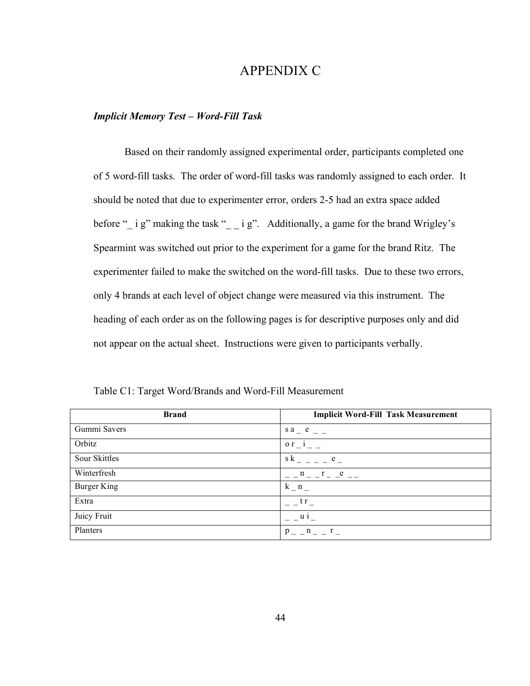## APPENDIX C

#### *Implicit Memory Test – Word-Fill Task*

Based on their randomly assigned experimental order, participants completed one of 5 word-fill tasks. The order of word-fill tasks was randomly assigned to each order. It should be noted that due to experimenter error, orders 2-5 had an extra space added before "\_ i g" making the task "\_ i g". Additionally, a game for the brand Wrigley's Spearmint was switched out prior to the experiment for a game for the brand Ritz. The experimenter failed to make the switched on the word-fill tasks. Due to these two errors, only 4 brands at each level of object change were measured via this instrument. The heading of each order as on the following pages is for descriptive purposes only and did not appear on the actual sheet. Instructions were given to participants verbally.

| <b>Brand</b>  | <b>Implicit Word-Fill Task Measurement</b> |
|---------------|--------------------------------------------|
| Gummi Savers  | s a e                                      |
| Orbitz        | $or$ i                                     |
| Sour Skittles | s k<br>e                                   |
| Winterfresh   | e                                          |
| Burger King   | k n                                        |
| Extra         | t r                                        |
| Juicy Fruit   | $\mathbf{u}$ 1                             |
| Planters      | n r<br>p                                   |

Table C1: Target Word/Brands and Word-Fill Measurement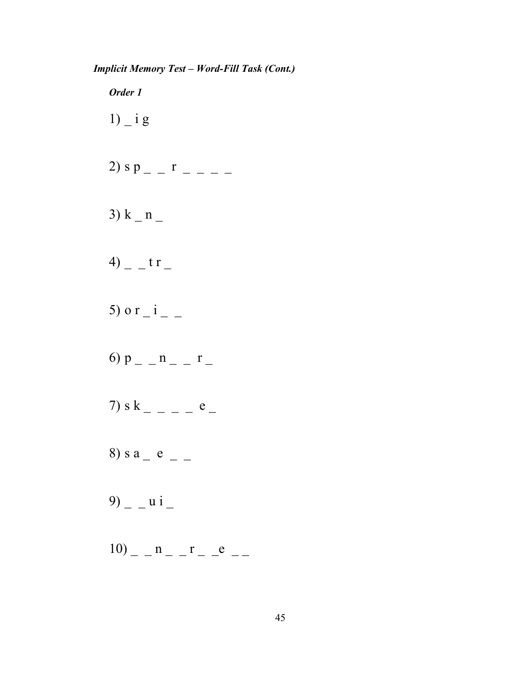*Implicit Memory Test – Word-Fill Task (Cont.)*

*Order 1*  $1)$   $\overline{\phantom{a}}$  i g 2) s p  $r$   $-$ 3)  $k - n -$ 4)  $-$  t r  $-$ 5) o r  $-i$  – 6)  $p_{-} - n_{-} - r_{-}$ 7) s k \_ \_ \_ \_ e \_ 8) s a  $_e$  e  $_e$   $=$ 9)  $u i$   $10$ )  $n$   $r$   $e$   $-$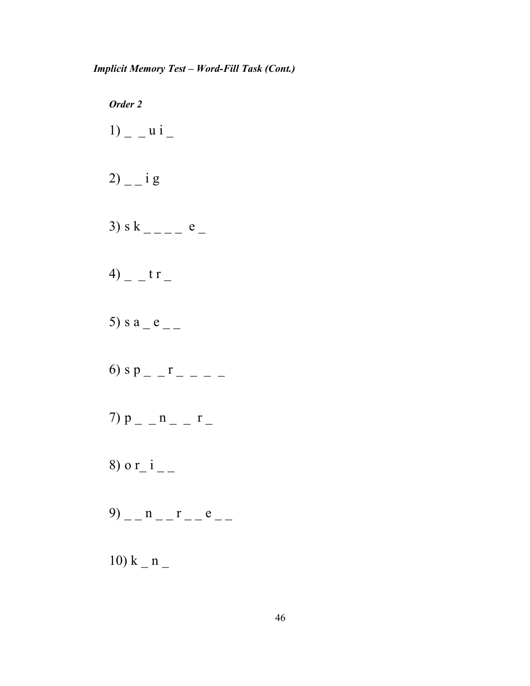*Order 2*  $1)$  \_ \_ u i \_ 2)  $-$  i g 3) s k  $-e$   $-$ 4)  $-$  t r  $-$ 5) s a  $_e$  e  $_{-}$ 6) s p \_ \_ r \_ \_ \_ \_ 7)  $p_{-} - n_{-} - r_{-}$ 8) o r\_i \_ \_  $9)$  \_ \_ n \_ \_ r \_ \_ e \_ \_ 10)  $k - n -$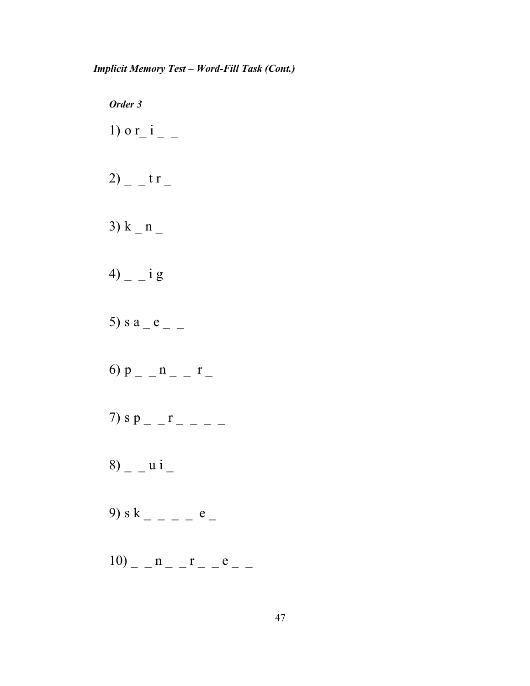*Order 3* 1) o r\_i \_ \_ 2)  $-$  t r  $-$ 3)  $k - n -$ 4)  $- i g$ 5) s a  $_e$  e  $_e$   $=$ 6)  $p_{-} - n_{-} - r_{-}$ 7) s p \_ \_ r \_ \_ \_ \_  $8)$  \_ \_ u i \_ 9) s k \_ \_ \_ \_ e \_  $10$ )  $n$   $r$   $e$   $-$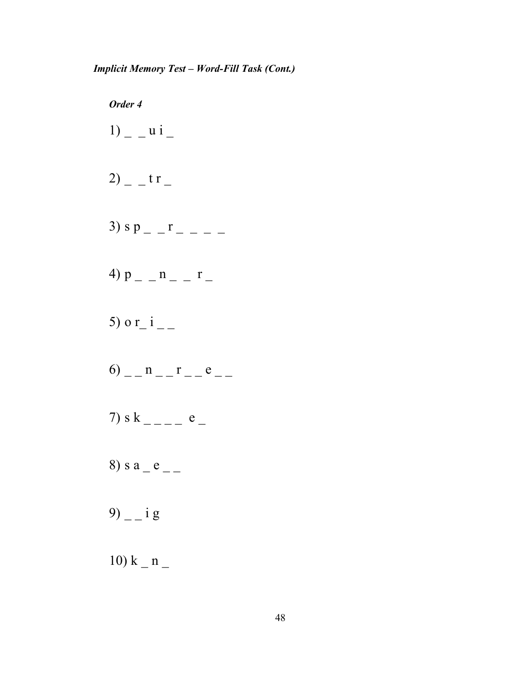*Order 4*  $1)$  \_ \_ u i \_ 2)  $-$  t r  $-$ 3) s p  $r - -$ 4)  $p_{-} - n_{-} - r_{-}$ 5) o r\_i \_ \_  $6)$  \_ \_ n \_ \_ r \_ \_ e \_ \_ 7) s k \_ \_ \_ \_ e \_ 8) s a  $_e$  e  $_{-}$ 9)  $i$  g 10)  $k - n -$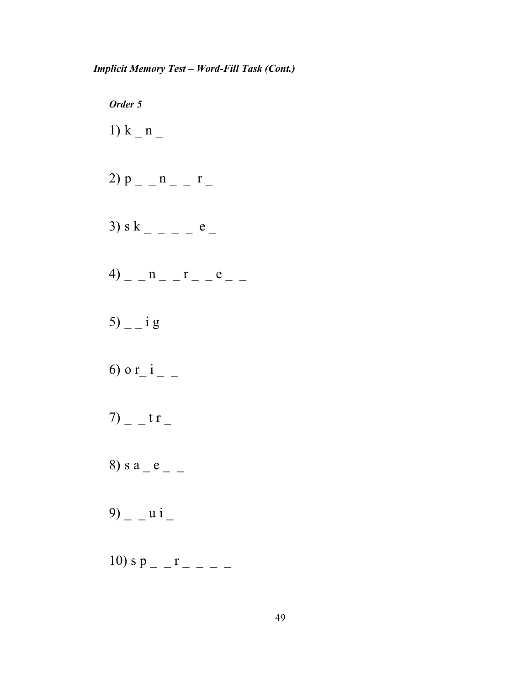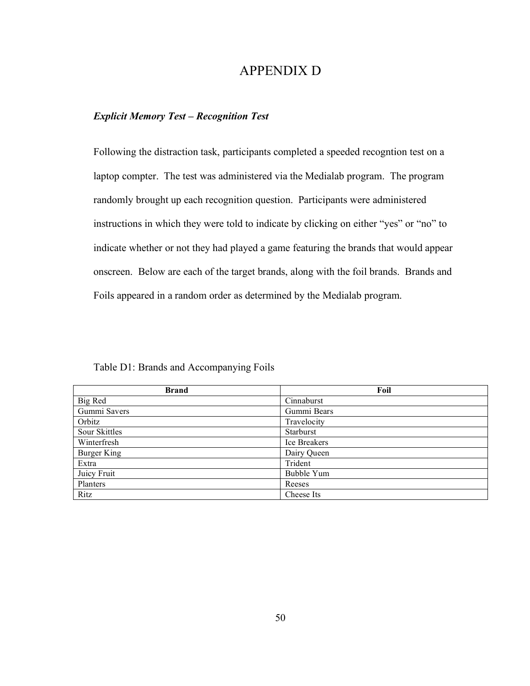## APPENDIX D

### *Explicit Memory Test – Recognition Test*

Following the distraction task, participants completed a speeded recogntion test on a laptop compter. The test was administered via the Medialab program. The program randomly brought up each recognition question. Participants were administered instructions in which they were told to indicate by clicking on either "yes" or "no" to indicate whether or not they had played a game featuring the brands that would appear onscreen. Below are each of the target brands, along with the foil brands. Brands and Foils appeared in a random order as determined by the Medialab program.

| <b>Brand</b>  | Foil         |
|---------------|--------------|
| Big Red       | Cinnaburst   |
| Gummi Savers  | Gummi Bears  |
| Orbitz        | Travelocity  |
| Sour Skittles | Starburst    |
| Winterfresh   | Ice Breakers |
| Burger King   | Dairy Queen  |
| Extra         | Trident      |
| Juicy Fruit   | Bubble Yum   |
| Planters      | Reeses       |
| Ritz          | Cheese Its   |

Table D1: Brands and Accompanying Foils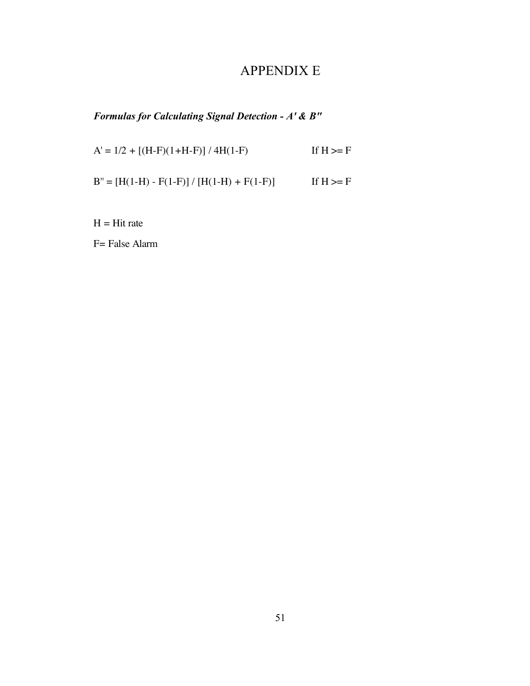# APPENDIX E

*Formulas for Calculating Signal Detection - A' & B"*

 $A' = 1/2 + [(H-F)(1+H-F)] / 4H(1-F)$  If  $H \ge F$  $B'' = [H(1-H) - F(1-F)] / [H(1-H) + F(1-F)]$  If  $H \ge F$ 

 $H = Hit$  rate

F= False Alarm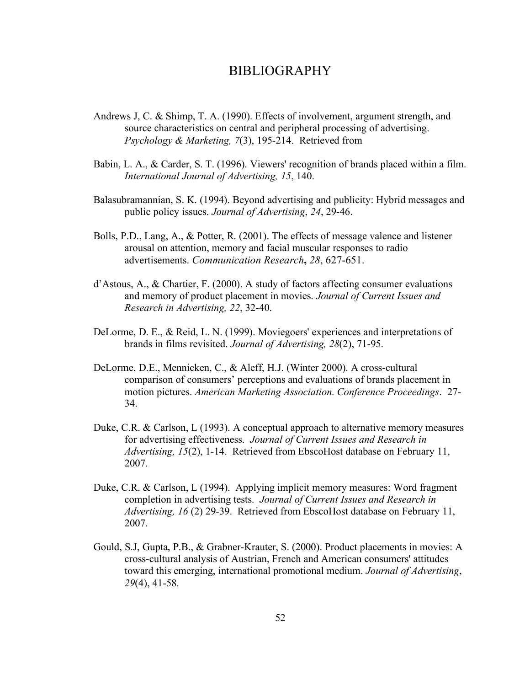### BIBLIOGRAPHY

- Andrews J, C. & Shimp, T. A. (1990). Effects of involvement, argument strength, and source characteristics on central and peripheral processing of advertising. *Psychology & Marketing, 7*(3), 195-214. Retrieved from
- Babin, L. A., & Carder, S. T. (1996). Viewers' recognition of brands placed within a film. *International Journal of Advertising, 15*, 140.
- Balasubramannian, S. K. (1994). Beyond advertising and publicity: Hybrid messages and public policy issues. *Journal of Advertising*, *24*, 29-46.
- Bolls, P.D., Lang, A., & Potter, R. (2001). The effects of message valence and listener arousal on attention, memory and facial muscular responses to radio advertisements. *Communication Research***,** *28*, 627-651.
- d'Astous, A., & Chartier, F. (2000). A study of factors affecting consumer evaluations and memory of product placement in movies. *Journal of Current Issues and Research in Advertising, 22*, 32-40.
- DeLorme, D. E., & Reid, L. N. (1999). Moviegoers' experiences and interpretations of brands in films revisited. *Journal of Advertising, 28*(2), 71-95.
- DeLorme, D.E., Mennicken, C., & Aleff, H.J. (Winter 2000). A cross-cultural comparison of consumers' perceptions and evaluations of brands placement in motion pictures. *American Marketing Association. Conference Proceedings*. 27- 34.
- Duke, C.R. & Carlson, L (1993). A conceptual approach to alternative memory measures for advertising effectiveness. *Journal of Current Issues and Research in Advertising, 15*(2), 1-14. Retrieved from EbscoHost database on February 11, 2007.
- Duke, C.R. & Carlson, L (1994). Applying implicit memory measures: Word fragment completion in advertising tests. *Journal of Current Issues and Research in Advertising, 16* (2) 29-39. Retrieved from EbscoHost database on February 11, 2007.
- Gould, S.J, Gupta, P.B., & Grabner-Krauter, S. (2000). Product placements in movies: A cross-cultural analysis of Austrian, French and American consumers' attitudes toward this emerging, international promotional medium. *Journal of Advertising*, *29*(4), 41-58.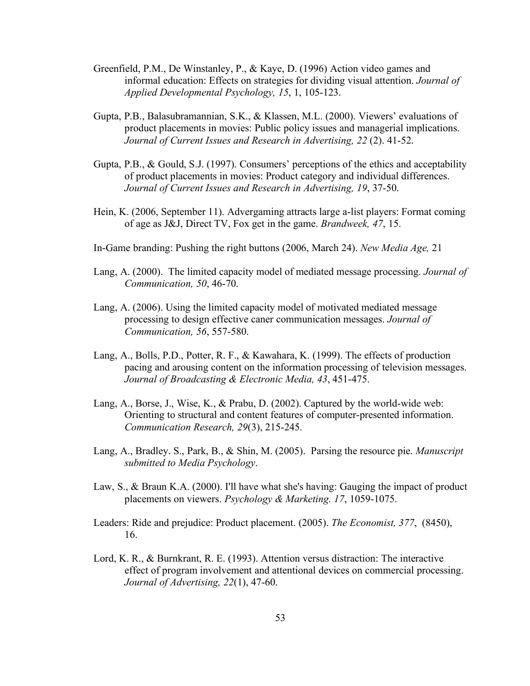- Greenfield, P.M., De Winstanley, P., & Kaye, D. (1996) Action video games and informal education: Effects on strategies for dividing visual attention. *Journal of Applied Developmental Psychology, 15*, 1, 105-123.
- Gupta, P.B., Balasubramannian, S.K., & Klassen, M.L. (2000). Viewers' evaluations of product placements in movies: Public policy issues and managerial implications. *Journal of Current Issues and Research in Advertising, 22* (2). 41-52.
- Gupta, P.B., & Gould, S.J. (1997). Consumers' perceptions of the ethics and acceptability of product placements in movies: Product category and individual differences. *Journal of Current Issues and Research in Advertising, 19*, 37-50.
- Hein, K. (2006, September 11). Advergaming attracts large a-list players: Format coming of age as J&J, Direct TV, Fox get in the game. *Brandweek, 47*, 15.
- In-Game branding: Pushing the right buttons (2006, March 24). *New Media Age,* 21
- Lang, A. (2000). The limited capacity model of mediated message processing. *Journal of Communication, 50*, 46-70.
- Lang, A. (2006). Using the limited capacity model of motivated mediated message processing to design effective caner communication messages. *Journal of Communication, 56*, 557-580.
- Lang, A., Bolls, P.D., Potter, R. F., & Kawahara, K. (1999). The effects of production pacing and arousing content on the information processing of television messages. *Journal of Broadcasting & Electronic Media, 43*, 451-475.
- Lang, A., Borse, J., Wise, K., & Prabu, D. (2002). Captured by the world-wide web: Orienting to structural and content features of computer-presented information. *Communication Research, 29*(3), 215-245.
- Lang, A., Bradley. S., Park, B., & Shin, M. (2005). Parsing the resource pie. *Manuscript submitted to Media Psychology*.
- Law, S., & Braun K.A. (2000). I'll have what she's having: Gauging the impact of product placements on viewers. *Psychology & Marketing. 17*, 1059-1075.
- Leaders: Ride and prejudice: Product placement. (2005). *The Economist, 377*, (8450), 16.
- Lord, K. R., & Burnkrant, R. E. (1993). Attention versus distraction: The interactive effect of program involvement and attentional devices on commercial processing. *Journal of Advertising, 22*(1), 47-60.